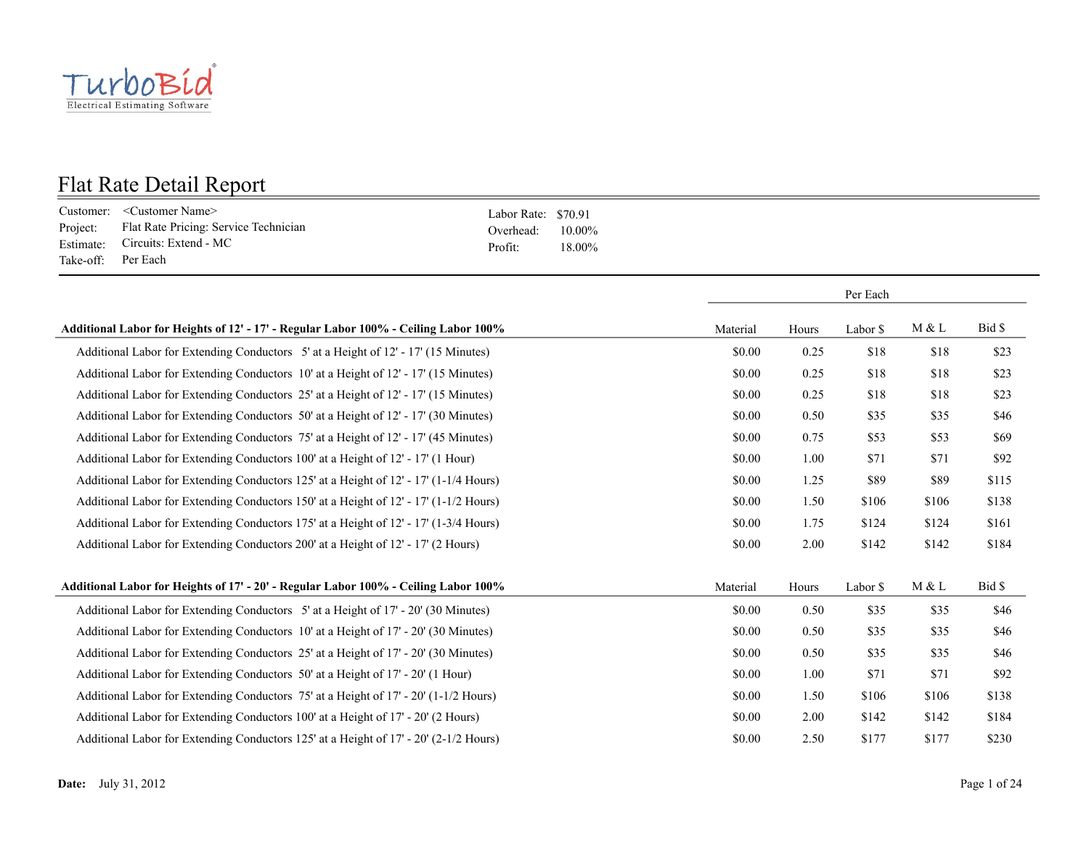

|                    | Customer: < Customer Name>                     | Labor Rate: \$70.91 |        |
|--------------------|------------------------------------------------|---------------------|--------|
|                    | Project: Flat Rate Pricing: Service Technician | Overhead: $10.00\%$ |        |
|                    | Estimate: Circuits: Extend - MC                | Profit:             | 18.00% |
| Take-off: Per Each |                                                |                     |        |

|                                                                                       |          |       | Per Each |       |        |
|---------------------------------------------------------------------------------------|----------|-------|----------|-------|--------|
| Additional Labor for Heights of 12' - 17' - Regular Labor 100% - Ceiling Labor 100%   | Material | Hours | Labor \$ | M & L | Bid \$ |
| Additional Labor for Extending Conductors 5' at a Height of 12' - 17' (15 Minutes)    | \$0.00   | 0.25  | \$18     | \$18  | \$23   |
| Additional Labor for Extending Conductors 10' at a Height of 12' - 17' (15 Minutes)   | \$0.00   | 0.25  | \$18     | \$18  | \$23   |
| Additional Labor for Extending Conductors 25' at a Height of 12' - 17' (15 Minutes)   | \$0.00   | 0.25  | \$18     | \$18  | \$23   |
| Additional Labor for Extending Conductors 50' at a Height of 12' - 17' (30 Minutes)   | \$0.00   | 0.50  | \$35     | \$35  | \$46   |
| Additional Labor for Extending Conductors 75' at a Height of 12' - 17' (45 Minutes)   | \$0.00   | 0.75  | \$53     | \$53  | \$69   |
| Additional Labor for Extending Conductors 100' at a Height of 12' - 17' (1 Hour)      | \$0.00   | 1.00  | \$71     | \$71  | \$92   |
| Additional Labor for Extending Conductors 125' at a Height of 12' - 17' (1-1/4 Hours) | \$0.00   | 1.25  | \$89     | \$89  | \$115  |
| Additional Labor for Extending Conductors 150' at a Height of 12' - 17' (1-1/2 Hours) | \$0.00   | 1.50  | \$106    | \$106 | \$138  |
| Additional Labor for Extending Conductors 175' at a Height of 12' - 17' (1-3/4 Hours) | \$0.00   | 1.75  | \$124    | \$124 | \$161  |
| Additional Labor for Extending Conductors 200' at a Height of 12' - 17' (2 Hours)     | \$0.00   | 2.00  | \$142    | \$142 | \$184  |
| Additional Labor for Heights of 17' - 20' - Regular Labor 100% - Ceiling Labor 100%   | Material | Hours | Labor \$ | M & L | Bid \$ |
| Additional Labor for Extending Conductors 5' at a Height of 17' - 20' (30 Minutes)    | \$0.00   | 0.50  | \$35     | \$35  | \$46   |
| Additional Labor for Extending Conductors 10' at a Height of 17' - 20' (30 Minutes)   | \$0.00   | 0.50  | \$35     | \$35  | \$46   |
| Additional Labor for Extending Conductors 25' at a Height of 17' - 20' (30 Minutes)   | \$0.00   | 0.50  | \$35     | \$35  | \$46   |
| Additional Labor for Extending Conductors 50' at a Height of 17' - 20' (1 Hour)       | \$0.00   | 1.00  | \$71     | \$71  | \$92   |
| Additional Labor for Extending Conductors 75' at a Height of 17' - 20' (1-1/2 Hours)  | \$0.00   | 1.50  | \$106    | \$106 | \$138  |
| Additional Labor for Extending Conductors 100' at a Height of 17' - 20' (2 Hours)     | \$0.00   | 2.00  | \$142    | \$142 | \$184  |
| Additional Labor for Extending Conductors 125' at a Height of 17' - 20' (2-1/2 Hours) | \$0.00   | 2.50  | \$177    | \$177 | \$230  |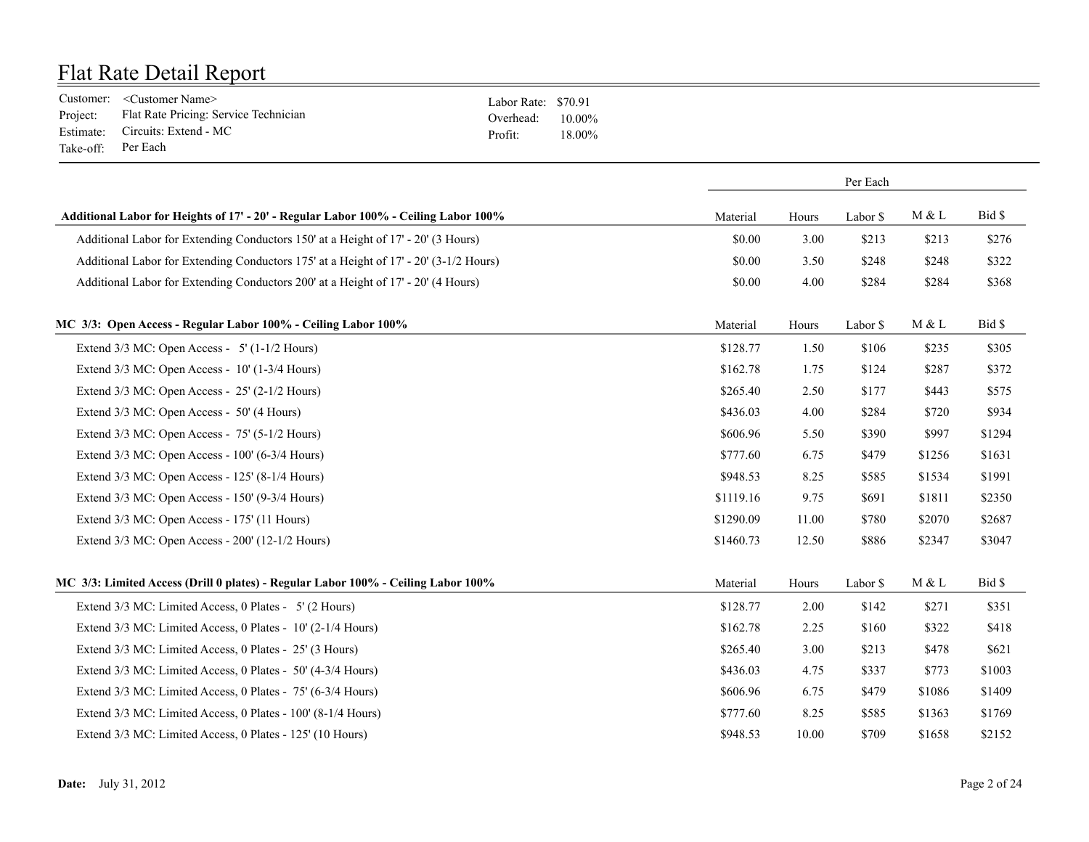|                    | Customer: <customer name=""></customer>        | Labor Rate: \$70.91 |        |
|--------------------|------------------------------------------------|---------------------|--------|
|                    | Project: Flat Rate Pricing: Service Technician | Overhead: $10.00\%$ |        |
|                    | Estimate: Circuits: Extend - MC                | Profit:             | 18.00% |
| Take-off: Per Each |                                                |                     |        |

|                                                                                       |           | Per Each |          |        |        |
|---------------------------------------------------------------------------------------|-----------|----------|----------|--------|--------|
| Additional Labor for Heights of 17' - 20' - Regular Labor 100% - Ceiling Labor 100%   | Material  | Hours    | Labor \$ | M & L  | Bid \$ |
| Additional Labor for Extending Conductors 150' at a Height of 17' - 20' (3 Hours)     | \$0.00    | 3.00     | \$213    | \$213  | \$276  |
| Additional Labor for Extending Conductors 175' at a Height of 17' - 20' (3-1/2 Hours) | \$0.00    | 3.50     | \$248    | \$248  | \$322  |
| Additional Labor for Extending Conductors 200' at a Height of 17' - 20' (4 Hours)     | \$0.00    | 4.00     | \$284    | \$284  | \$368  |
| MC 3/3: Open Access - Regular Labor 100% - Ceiling Labor 100%                         | Material  | Hours    | Labor \$ | M & L  | Bid \$ |
| Extend $3/3$ MC: Open Access - 5' (1-1/2 Hours)                                       | \$128.77  | 1.50     | \$106    | \$235  | \$305  |
| Extend 3/3 MC: Open Access - 10' (1-3/4 Hours)                                        | \$162.78  | 1.75     | \$124    | \$287  | \$372  |
| Extend $3/3$ MC: Open Access - $25'$ (2-1/2 Hours)                                    | \$265.40  | 2.50     | \$177    | \$443  | \$575  |
| Extend 3/3 MC: Open Access - 50' (4 Hours)                                            | \$436.03  | 4.00     | \$284    | \$720  | \$934  |
| Extend 3/3 MC: Open Access - 75' (5-1/2 Hours)                                        | \$606.96  | 5.50     | \$390    | \$997  | \$1294 |
| Extend 3/3 MC: Open Access - 100' (6-3/4 Hours)                                       | \$777.60  | 6.75     | \$479    | \$1256 | \$1631 |
| Extend 3/3 MC: Open Access - 125' (8-1/4 Hours)                                       | \$948.53  | 8.25     | \$585    | \$1534 | \$1991 |
| Extend 3/3 MC: Open Access - 150' (9-3/4 Hours)                                       | \$1119.16 | 9.75     | \$691    | \$1811 | \$2350 |
| Extend 3/3 MC: Open Access - 175' (11 Hours)                                          | \$1290.09 | 11.00    | \$780    | \$2070 | \$2687 |
| Extend 3/3 MC: Open Access - 200' (12-1/2 Hours)                                      | \$1460.73 | 12.50    | \$886    | \$2347 | \$3047 |
| MC 3/3: Limited Access (Drill 0 plates) - Regular Labor 100% - Ceiling Labor 100%     | Material  | Hours    | Labor \$ | M & L  | Bid \$ |
| Extend 3/3 MC: Limited Access, 0 Plates - 5' (2 Hours)                                | \$128.77  | 2.00     | \$142    | \$271  | \$351  |
| Extend 3/3 MC: Limited Access, 0 Plates - 10' (2-1/4 Hours)                           | \$162.78  | 2.25     | \$160    | \$322  | \$418  |
| Extend 3/3 MC: Limited Access, 0 Plates - 25' (3 Hours)                               | \$265.40  | 3.00     | \$213    | \$478  | \$621  |
| Extend 3/3 MC: Limited Access, 0 Plates - 50' (4-3/4 Hours)                           | \$436.03  | 4.75     | \$337    | \$773  | \$1003 |
| Extend 3/3 MC: Limited Access, 0 Plates - 75' (6-3/4 Hours)                           | \$606.96  | 6.75     | \$479    | \$1086 | \$1409 |
| Extend 3/3 MC: Limited Access, 0 Plates - 100' (8-1/4 Hours)                          | \$777.60  | 8.25     | \$585    | \$1363 | \$1769 |

Extend 3/3 MC: Limited Access, 0 Plates - 125' (10 Hours) \$948.53 10.00 \$709 \$1658 \$2152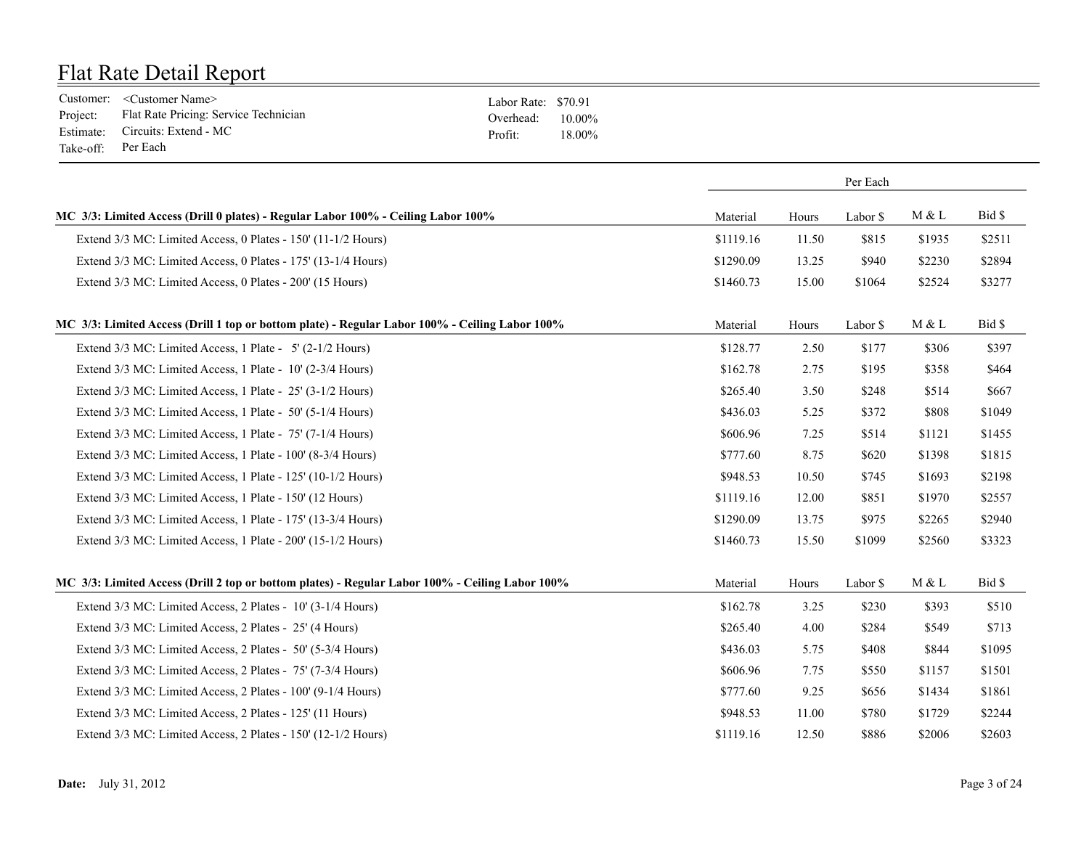|                    | Customer: <customer name=""></customer>        | Labor Rate: \$70.91 |        |
|--------------------|------------------------------------------------|---------------------|--------|
|                    | Project: Flat Rate Pricing: Service Technician | Overhead: $10.00\%$ |        |
|                    | Estimate: Circuits: Extend - MC                | Profit:             | 18.00% |
| Take-off: Per Each |                                                |                     |        |

|                                                                                                 |           | Per Each |          |        |        |
|-------------------------------------------------------------------------------------------------|-----------|----------|----------|--------|--------|
| MC 3/3: Limited Access (Drill 0 plates) - Regular Labor 100% - Ceiling Labor 100%               | Material  | Hours    | Labor \$ | M & L  | Bid \$ |
| Extend 3/3 MC: Limited Access, 0 Plates - 150' (11-1/2 Hours)                                   | \$1119.16 | 11.50    | \$815    | \$1935 | \$2511 |
| Extend 3/3 MC: Limited Access, 0 Plates - 175' (13-1/4 Hours)                                   | \$1290.09 | 13.25    | \$940    | \$2230 | \$2894 |
| Extend 3/3 MC: Limited Access, 0 Plates - 200' (15 Hours)                                       | \$1460.73 | 15.00    | \$1064   | \$2524 | \$3277 |
| MC 3/3: Limited Access (Drill 1 top or bottom plate) - Regular Labor 100% - Ceiling Labor 100%  | Material  | Hours    | Labor \$ | M & L  | Bid \$ |
| Extend 3/3 MC: Limited Access, 1 Plate - 5' (2-1/2 Hours)                                       | \$128.77  | 2.50     | \$177    | \$306  | \$397  |
| Extend 3/3 MC: Limited Access, 1 Plate - 10' (2-3/4 Hours)                                      | \$162.78  | 2.75     | \$195    | \$358  | \$464  |
| Extend 3/3 MC: Limited Access, 1 Plate - 25' (3-1/2 Hours)                                      | \$265.40  | 3.50     | \$248    | \$514  | \$667  |
| Extend 3/3 MC: Limited Access, 1 Plate - 50' (5-1/4 Hours)                                      | \$436.03  | 5.25     | \$372    | \$808  | \$1049 |
| Extend 3/3 MC: Limited Access, 1 Plate - 75' (7-1/4 Hours)                                      | \$606.96  | 7.25     | \$514    | \$1121 | \$1455 |
| Extend 3/3 MC: Limited Access, 1 Plate - 100' (8-3/4 Hours)                                     | \$777.60  | 8.75     | \$620    | \$1398 | \$1815 |
| Extend 3/3 MC: Limited Access, 1 Plate - 125' (10-1/2 Hours)                                    | \$948.53  | 10.50    | \$745    | \$1693 | \$2198 |
| Extend 3/3 MC: Limited Access, 1 Plate - 150' (12 Hours)                                        | \$1119.16 | 12.00    | \$851    | \$1970 | \$2557 |
| Extend 3/3 MC: Limited Access, 1 Plate - 175' (13-3/4 Hours)                                    | \$1290.09 | 13.75    | \$975    | \$2265 | \$2940 |
| Extend 3/3 MC: Limited Access, 1 Plate - 200' (15-1/2 Hours)                                    | \$1460.73 | 15.50    | \$1099   | \$2560 | \$3323 |
| MC 3/3: Limited Access (Drill 2 top or bottom plates) - Regular Labor 100% - Ceiling Labor 100% | Material  | Hours    | Labor \$ | M & L  | Bid \$ |
| Extend 3/3 MC: Limited Access, 2 Plates - 10' (3-1/4 Hours)                                     | \$162.78  | 3.25     | \$230    | \$393  | \$510  |
| Extend 3/3 MC: Limited Access, 2 Plates - 25' (4 Hours)                                         | \$265.40  | 4.00     | \$284    | \$549  | \$713  |
| Extend 3/3 MC: Limited Access, 2 Plates - 50' (5-3/4 Hours)                                     | \$436.03  | 5.75     | \$408    | \$844  | \$1095 |
| Extend 3/3 MC: Limited Access, 2 Plates - 75' (7-3/4 Hours)                                     | \$606.96  | 7.75     | \$550    | \$1157 | \$1501 |
| Extend 3/3 MC: Limited Access, 2 Plates - 100' (9-1/4 Hours)                                    | \$777.60  | 9.25     | \$656    | \$1434 | \$1861 |
| Extend 3/3 MC: Limited Access, 2 Plates - 125' (11 Hours)                                       | \$948.53  | 11.00    | \$780    | \$1729 | \$2244 |
| Extend 3/3 MC: Limited Access, 2 Plates - 150' (12-1/2 Hours)                                   | \$1119.16 | 12.50    | \$886    | \$2006 | \$2603 |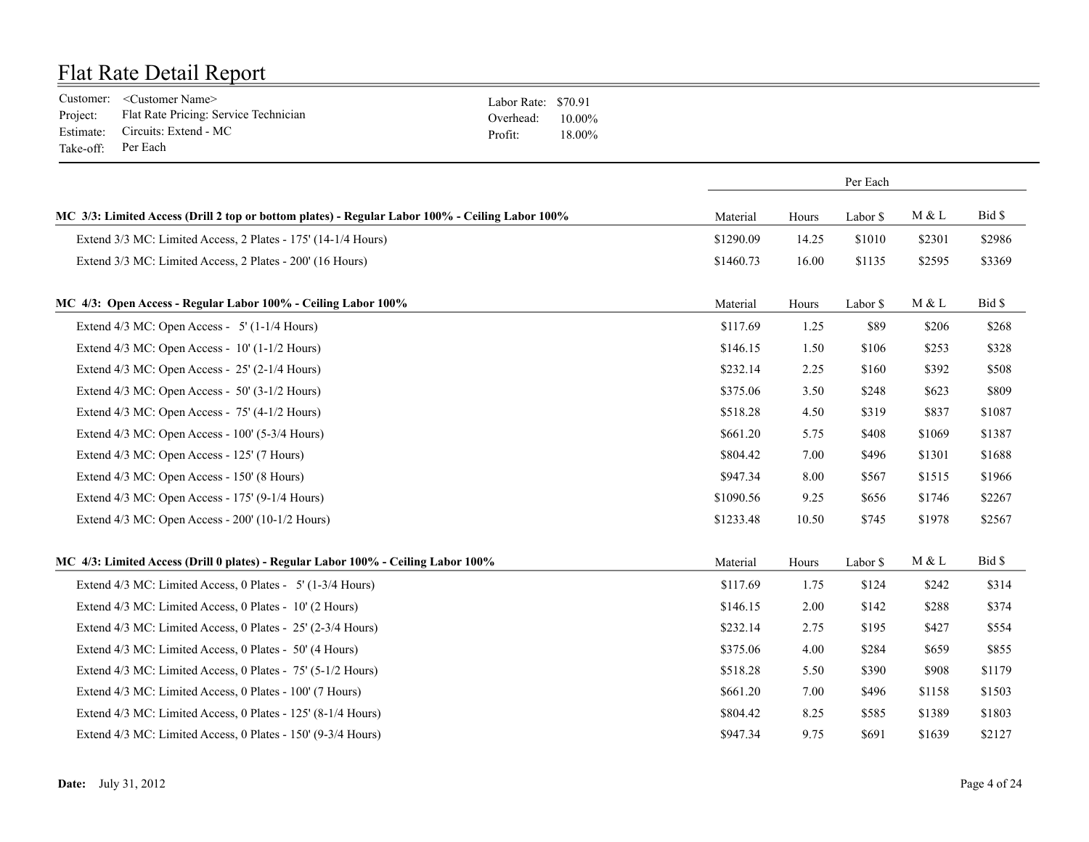|                    | Customer: <customer name=""></customer>        | Labor Rate: \$70.91 |        |
|--------------------|------------------------------------------------|---------------------|--------|
|                    | Project: Flat Rate Pricing: Service Technician | Overhead: $10.00\%$ |        |
|                    | Estimate: Circuits: Extend - MC                | Profit:             | 18.00% |
| Take-off: Per Each |                                                |                     |        |

|                                                                                                 |           | Per Each |          |                |        |
|-------------------------------------------------------------------------------------------------|-----------|----------|----------|----------------|--------|
| MC 3/3: Limited Access (Drill 2 top or bottom plates) - Regular Labor 100% - Ceiling Labor 100% | Material  | Hours    | Labor \$ | M & L          | Bid \$ |
| Extend 3/3 MC: Limited Access, 2 Plates - 175' (14-1/4 Hours)                                   | \$1290.09 | 14.25    | \$1010   | \$2301         | \$2986 |
| Extend 3/3 MC: Limited Access, 2 Plates - 200' (16 Hours)                                       | \$1460.73 | 16.00    | \$1135   | \$2595         | \$3369 |
| MC 4/3: Open Access - Regular Labor 100% - Ceiling Labor 100%                                   | Material  | Hours    | Labor \$ | M & L          | Bid \$ |
| Extend $4/3$ MC: Open Access - 5' (1-1/4 Hours)                                                 | \$117.69  | 1.25     | \$89     | \$206          | \$268  |
| Extend 4/3 MC: Open Access - 10' (1-1/2 Hours)                                                  | \$146.15  | 1.50     | \$106    | \$253          | \$328  |
| Extend $4/3$ MC: Open Access - $25'$ (2-1/4 Hours)                                              | \$232.14  | 2.25     | \$160    | \$392          | \$508  |
| Extend 4/3 MC: Open Access - 50' (3-1/2 Hours)                                                  | \$375.06  | 3.50     | \$248    | \$623          | \$809  |
| Extend 4/3 MC: Open Access - 75' (4-1/2 Hours)                                                  | \$518.28  | 4.50     | \$319    | \$837          | \$1087 |
| Extend 4/3 MC: Open Access - 100' (5-3/4 Hours)                                                 | \$661.20  | 5.75     | \$408    | \$1069         | \$1387 |
| Extend 4/3 MC: Open Access - 125' (7 Hours)                                                     | \$804.42  | 7.00     | \$496    | \$1301         | \$1688 |
| Extend 4/3 MC: Open Access - 150' (8 Hours)                                                     | \$947.34  | 8.00     | \$567    | \$1515         | \$1966 |
| Extend 4/3 MC: Open Access - 175' (9-1/4 Hours)                                                 | \$1090.56 | 9.25     | \$656    | \$1746         | \$2267 |
| Extend 4/3 MC: Open Access - 200' (10-1/2 Hours)                                                | \$1233.48 | 10.50    | \$745    | \$1978         | \$2567 |
| MC 4/3: Limited Access (Drill 0 plates) - Regular Labor 100% - Ceiling Labor 100%               | Material  | Hours    | Labor \$ | $M \, \& \,$ L | Bid \$ |
| Extend 4/3 MC: Limited Access, 0 Plates - 5' (1-3/4 Hours)                                      | \$117.69  | 1.75     | \$124    | \$242          | \$314  |
| Extend 4/3 MC: Limited Access, 0 Plates - 10' (2 Hours)                                         | \$146.15  | 2.00     | \$142    | \$288          | \$374  |
| Extend 4/3 MC: Limited Access, 0 Plates - 25' (2-3/4 Hours)                                     | \$232.14  | 2.75     | \$195    | \$427          | \$554  |
| Extend 4/3 MC: Limited Access, 0 Plates - 50' (4 Hours)                                         | \$375.06  | 4.00     | \$284    | \$659          | \$855  |
| Extend 4/3 MC: Limited Access, 0 Plates - 75' (5-1/2 Hours)                                     | \$518.28  | 5.50     | \$390    | \$908          | \$1179 |
| Extend 4/3 MC: Limited Access, 0 Plates - 100' (7 Hours)                                        | \$661.20  | 7.00     | \$496    | \$1158         | \$1503 |
| Extend 4/3 MC: Limited Access, 0 Plates - 125' (8-1/4 Hours)                                    | \$804.42  | 8.25     | \$585    | \$1389         | \$1803 |
| Extend 4/3 MC: Limited Access, 0 Plates - 150' (9-3/4 Hours)                                    | \$947.34  | 9.75     | \$691    | \$1639         | \$2127 |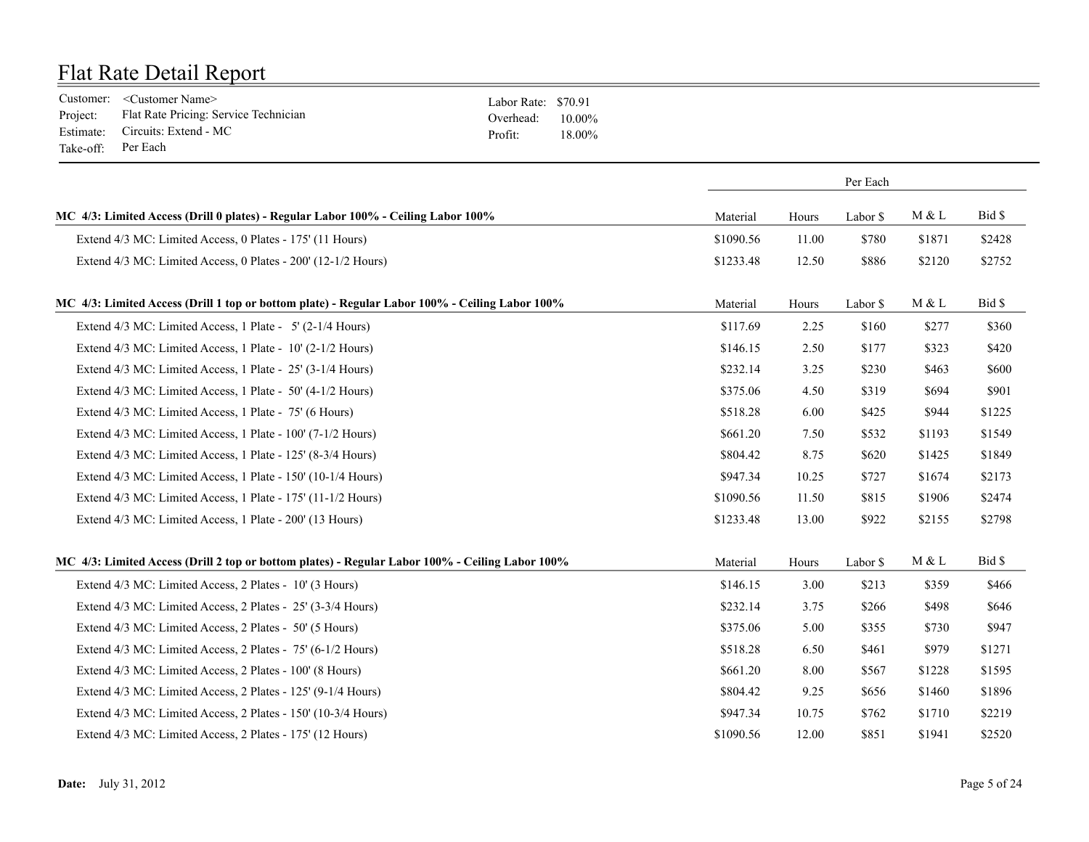|                    | Customer: <customer name=""></customer>        | Labor Rate: \$70.91 |        |
|--------------------|------------------------------------------------|---------------------|--------|
|                    | Project: Flat Rate Pricing: Service Technician | Overhead: $10.00\%$ |        |
|                    | Estimate: Circuits: Extend - MC                | Profit:             | 18.00% |
| Take-off: Per Each |                                                |                     |        |

|                                                                                                 |           |       | Per Each |        |        |
|-------------------------------------------------------------------------------------------------|-----------|-------|----------|--------|--------|
| MC 4/3: Limited Access (Drill 0 plates) - Regular Labor 100% - Ceiling Labor 100%               | Material  | Hours | Labor \$ | M & L  | Bid \$ |
| Extend 4/3 MC: Limited Access, 0 Plates - 175' (11 Hours)                                       | \$1090.56 | 11.00 | \$780    | \$1871 | \$2428 |
| Extend 4/3 MC: Limited Access, 0 Plates - 200' (12-1/2 Hours)                                   | \$1233.48 | 12.50 | \$886    | \$2120 | \$2752 |
| MC 4/3: Limited Access (Drill 1 top or bottom plate) - Regular Labor 100% - Ceiling Labor 100%  | Material  | Hours | Labor \$ | M & L  | Bid \$ |
| Extend 4/3 MC: Limited Access, 1 Plate - 5' (2-1/4 Hours)                                       | \$117.69  | 2.25  | \$160    | \$277  | \$360  |
| Extend 4/3 MC: Limited Access, 1 Plate - 10' (2-1/2 Hours)                                      | \$146.15  | 2.50  | \$177    | \$323  | \$420  |
| Extend 4/3 MC: Limited Access, 1 Plate - 25' (3-1/4 Hours)                                      | \$232.14  | 3.25  | \$230    | \$463  | \$600  |
| Extend 4/3 MC: Limited Access, 1 Plate - 50' (4-1/2 Hours)                                      | \$375.06  | 4.50  | \$319    | \$694  | \$901  |
| Extend 4/3 MC: Limited Access, 1 Plate - 75' (6 Hours)                                          | \$518.28  | 6.00  | \$425    | \$944  | \$1225 |
| Extend 4/3 MC: Limited Access, 1 Plate - 100' (7-1/2 Hours)                                     | \$661.20  | 7.50  | \$532    | \$1193 | \$1549 |
| Extend 4/3 MC: Limited Access, 1 Plate - 125' (8-3/4 Hours)                                     | \$804.42  | 8.75  | \$620    | \$1425 | \$1849 |
| Extend 4/3 MC: Limited Access, 1 Plate - 150' (10-1/4 Hours)                                    | \$947.34  | 10.25 | \$727    | \$1674 | \$2173 |
| Extend 4/3 MC: Limited Access, 1 Plate - 175' (11-1/2 Hours)                                    | \$1090.56 | 11.50 | \$815    | \$1906 | \$2474 |
| Extend 4/3 MC: Limited Access, 1 Plate - 200' (13 Hours)                                        | \$1233.48 | 13.00 | \$922    | \$2155 | \$2798 |
| MC 4/3: Limited Access (Drill 2 top or bottom plates) - Regular Labor 100% - Ceiling Labor 100% | Material  | Hours | Labor \$ | M & L  | Bid \$ |
| Extend 4/3 MC: Limited Access, 2 Plates - 10' (3 Hours)                                         | \$146.15  | 3.00  | \$213    | \$359  | \$466  |
| Extend 4/3 MC: Limited Access, 2 Plates - 25' (3-3/4 Hours)                                     | \$232.14  | 3.75  | \$266    | \$498  | \$646  |
| Extend 4/3 MC: Limited Access, 2 Plates - 50' (5 Hours)                                         | \$375.06  | 5.00  | \$355    | \$730  | \$947  |
| Extend 4/3 MC: Limited Access, 2 Plates - 75' (6-1/2 Hours)                                     | \$518.28  | 6.50  | \$461    | \$979  | \$1271 |
| Extend 4/3 MC: Limited Access, 2 Plates - 100' (8 Hours)                                        | \$661.20  | 8.00  | \$567    | \$1228 | \$1595 |
| Extend 4/3 MC: Limited Access, 2 Plates - 125' (9-1/4 Hours)                                    | \$804.42  | 9.25  | \$656    | \$1460 | \$1896 |
| Extend 4/3 MC: Limited Access, 2 Plates - 150' (10-3/4 Hours)                                   | \$947.34  | 10.75 | \$762    | \$1710 | \$2219 |
| Extend 4/3 MC: Limited Access, 2 Plates - 175' (12 Hours)                                       | \$1090.56 | 12.00 | \$851    | \$1941 | \$2520 |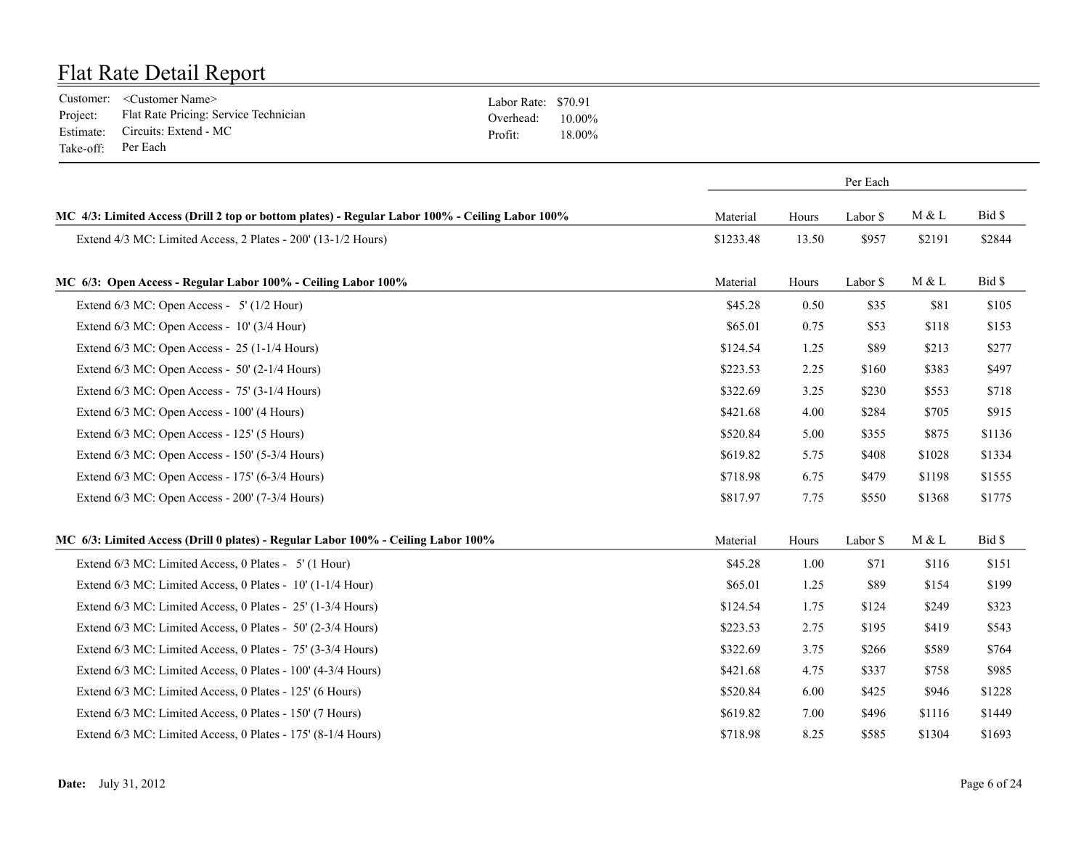|                    | Customer: <customer name=""></customer>        | Labor Rate: \$70.91 |        |
|--------------------|------------------------------------------------|---------------------|--------|
|                    | Project: Flat Rate Pricing: Service Technician | Overhead: $10.00\%$ |        |
|                    | Estimate: Circuits: Extend - MC                | Profit:             | 18.00% |
| Take-off: Per Each |                                                |                     |        |

|                                                                                                 |           |       | Per Each |        |        |
|-------------------------------------------------------------------------------------------------|-----------|-------|----------|--------|--------|
| MC 4/3: Limited Access (Drill 2 top or bottom plates) - Regular Labor 100% - Ceiling Labor 100% | Material  | Hours | Labor \$ | M & L  | Bid \$ |
| Extend 4/3 MC: Limited Access, 2 Plates - 200' (13-1/2 Hours)                                   | \$1233.48 | 13.50 | \$957    | \$2191 | \$2844 |
| MC 6/3: Open Access - Regular Labor 100% - Ceiling Labor 100%                                   | Material  | Hours | Labor \$ | M & L  | Bid \$ |
| Extend $6/3$ MC: Open Access - 5' ( $1/2$ Hour)                                                 | \$45.28   | 0.50  | \$35     | \$81   | \$105  |
| Extend 6/3 MC: Open Access - 10' (3/4 Hour)                                                     | \$65.01   | 0.75  | \$53     | \$118  | \$153  |
| Extend 6/3 MC: Open Access - 25 (1-1/4 Hours)                                                   | \$124.54  | 1.25  | \$89     | \$213  | \$277  |
| Extend 6/3 MC: Open Access - 50' (2-1/4 Hours)                                                  | \$223.53  | 2.25  | \$160    | \$383  | \$497  |
| Extend 6/3 MC: Open Access - 75' (3-1/4 Hours)                                                  | \$322.69  | 3.25  | \$230    | \$553  | \$718  |
| Extend 6/3 MC: Open Access - 100' (4 Hours)                                                     | \$421.68  | 4.00  | \$284    | \$705  | \$915  |
| Extend 6/3 MC: Open Access - 125' (5 Hours)                                                     | \$520.84  | 5.00  | \$355    | \$875  | \$1136 |
| Extend $6/3$ MC: Open Access - $150'$ (5-3/4 Hours)                                             | \$619.82  | 5.75  | \$408    | \$1028 | \$1334 |
| Extend 6/3 MC: Open Access - 175' (6-3/4 Hours)                                                 | \$718.98  | 6.75  | \$479    | \$1198 | \$1555 |
| Extend 6/3 MC: Open Access - 200' (7-3/4 Hours)                                                 | \$817.97  | 7.75  | \$550    | \$1368 | \$1775 |
| MC 6/3: Limited Access (Drill 0 plates) - Regular Labor 100% - Ceiling Labor 100%               | Material  | Hours | Labor \$ | M & L  | Bid \$ |
| Extend 6/3 MC: Limited Access, 0 Plates - 5' (1 Hour)                                           | \$45.28   | 1.00  | \$71     | \$116  | \$151  |
| Extend 6/3 MC: Limited Access, 0 Plates - 10' (1-1/4 Hour)                                      | \$65.01   | 1.25  | \$89     | \$154  | \$199  |
| Extend 6/3 MC: Limited Access, 0 Plates - 25' (1-3/4 Hours)                                     | \$124.54  | 1.75  | \$124    | \$249  | \$323  |
| Extend 6/3 MC: Limited Access, 0 Plates - 50' (2-3/4 Hours)                                     | \$223.53  | 2.75  | \$195    | \$419  | \$543  |
| Extend 6/3 MC: Limited Access, 0 Plates - 75' (3-3/4 Hours)                                     | \$322.69  | 3.75  | \$266    | \$589  | \$764  |
| Extend 6/3 MC: Limited Access, 0 Plates - 100' (4-3/4 Hours)                                    | \$421.68  | 4.75  | \$337    | \$758  | \$985  |
| Extend 6/3 MC: Limited Access, 0 Plates - 125' (6 Hours)                                        | \$520.84  | 6.00  | \$425    | \$946  | \$1228 |
| Extend 6/3 MC: Limited Access, 0 Plates - 150' (7 Hours)                                        | \$619.82  | 7.00  | \$496    | \$1116 | \$1449 |
| Extend 6/3 MC: Limited Access, 0 Plates - 175' (8-1/4 Hours)                                    | \$718.98  | 8.25  | \$585    | \$1304 | \$1693 |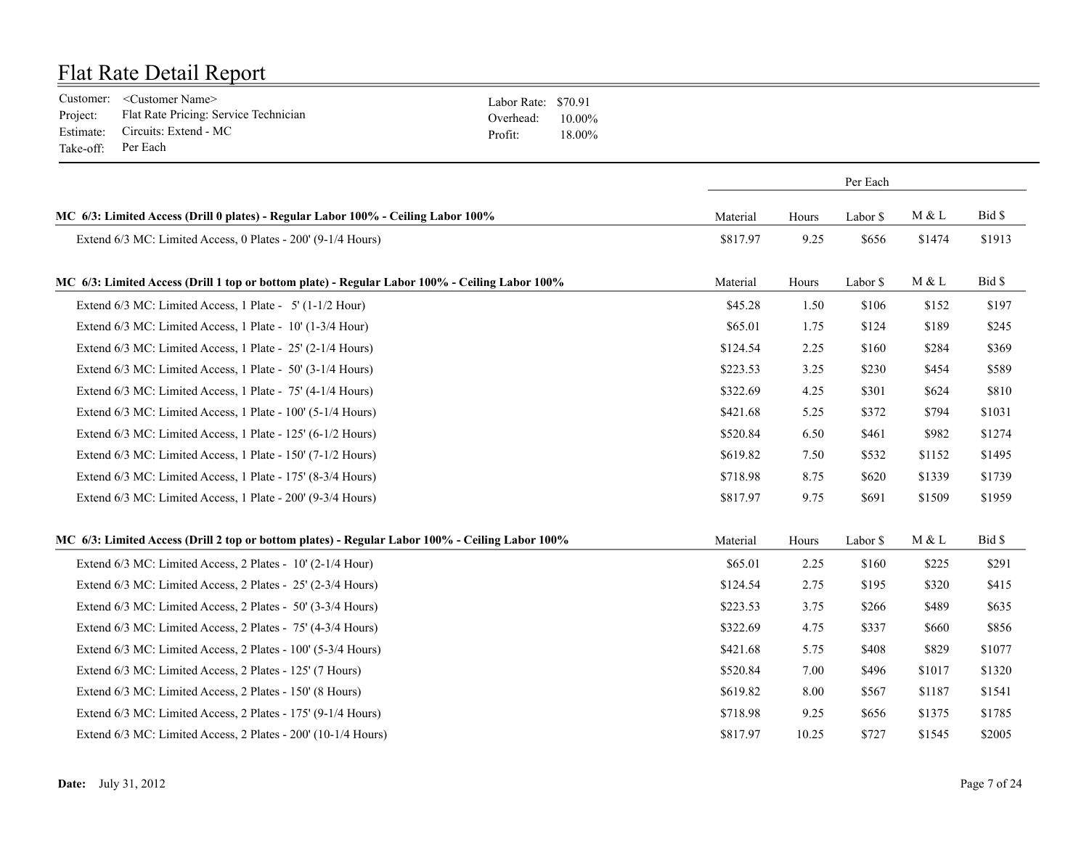|                    | Customer: <customer name=""></customer>        | Labor Rate: \$70.91 |        |
|--------------------|------------------------------------------------|---------------------|--------|
|                    | Project: Flat Rate Pricing: Service Technician | Overhead: $10.00\%$ |        |
|                    | Estimate: Circuits: Extend - MC                | Profit:             | 18.00% |
| Take-off: Per Each |                                                |                     |        |

|                                                                                                 | Per Each |       |          |        |        |
|-------------------------------------------------------------------------------------------------|----------|-------|----------|--------|--------|
| MC 6/3: Limited Access (Drill 0 plates) - Regular Labor 100% - Ceiling Labor 100%               | Material | Hours | Labor \$ | M & L  | Bid \$ |
| Extend 6/3 MC: Limited Access, 0 Plates - 200' (9-1/4 Hours)                                    | \$817.97 | 9.25  | \$656    | \$1474 | \$1913 |
| MC 6/3: Limited Access (Drill 1 top or bottom plate) - Regular Labor 100% - Ceiling Labor 100%  | Material | Hours | Labor \$ | M & L  | Bid \$ |
| Extend 6/3 MC: Limited Access, 1 Plate - 5' (1-1/2 Hour)                                        | \$45.28  | 1.50  | \$106    | \$152  | \$197  |
| Extend 6/3 MC: Limited Access, 1 Plate - 10' (1-3/4 Hour)                                       | \$65.01  | 1.75  | \$124    | \$189  | \$245  |
| Extend 6/3 MC: Limited Access, 1 Plate - 25' (2-1/4 Hours)                                      | \$124.54 | 2.25  | \$160    | \$284  | \$369  |
| Extend 6/3 MC: Limited Access, 1 Plate - 50' (3-1/4 Hours)                                      | \$223.53 | 3.25  | \$230    | \$454  | \$589  |
| Extend 6/3 MC: Limited Access, 1 Plate - 75' (4-1/4 Hours)                                      | \$322.69 | 4.25  | \$301    | \$624  | \$810  |
| Extend 6/3 MC: Limited Access, 1 Plate - 100' (5-1/4 Hours)                                     | \$421.68 | 5.25  | \$372    | \$794  | \$1031 |
| Extend 6/3 MC: Limited Access, 1 Plate - 125' (6-1/2 Hours)                                     | \$520.84 | 6.50  | \$461    | \$982  | \$1274 |
| Extend 6/3 MC: Limited Access, 1 Plate - 150' (7-1/2 Hours)                                     | \$619.82 | 7.50  | \$532    | \$1152 | \$1495 |
| Extend 6/3 MC: Limited Access, 1 Plate - 175' (8-3/4 Hours)                                     | \$718.98 | 8.75  | \$620    | \$1339 | \$1739 |
| Extend 6/3 MC: Limited Access, 1 Plate - 200' (9-3/4 Hours)                                     | \$817.97 | 9.75  | \$691    | \$1509 | \$1959 |
| MC 6/3: Limited Access (Drill 2 top or bottom plates) - Regular Labor 100% - Ceiling Labor 100% | Material | Hours | Labor \$ | M & L  | Bid \$ |
| Extend 6/3 MC: Limited Access, 2 Plates - 10' (2-1/4 Hour)                                      | \$65.01  | 2.25  | \$160    | \$225  | \$291  |
| Extend 6/3 MC: Limited Access, 2 Plates - 25' (2-3/4 Hours)                                     | \$124.54 | 2.75  | \$195    | \$320  | \$415  |
| Extend 6/3 MC: Limited Access, 2 Plates - 50' (3-3/4 Hours)                                     | \$223.53 | 3.75  | \$266    | \$489  | \$635  |
| Extend 6/3 MC: Limited Access, 2 Plates - 75' (4-3/4 Hours)                                     | \$322.69 | 4.75  | \$337    | \$660  | \$856  |
| Extend 6/3 MC: Limited Access, 2 Plates - 100' (5-3/4 Hours)                                    | \$421.68 | 5.75  | \$408    | \$829  | \$1077 |
| Extend 6/3 MC: Limited Access, 2 Plates - 125' (7 Hours)                                        | \$520.84 | 7.00  | \$496    | \$1017 | \$1320 |
| Extend 6/3 MC: Limited Access, 2 Plates - 150' (8 Hours)                                        | \$619.82 | 8.00  | \$567    | \$1187 | \$1541 |
| Extend 6/3 MC: Limited Access, 2 Plates - 175' (9-1/4 Hours)                                    | \$718.98 | 9.25  | \$656    | \$1375 | \$1785 |
| Extend 6/3 MC: Limited Access, 2 Plates - 200' (10-1/4 Hours)                                   | \$817.97 | 10.25 | \$727    | \$1545 | \$2005 |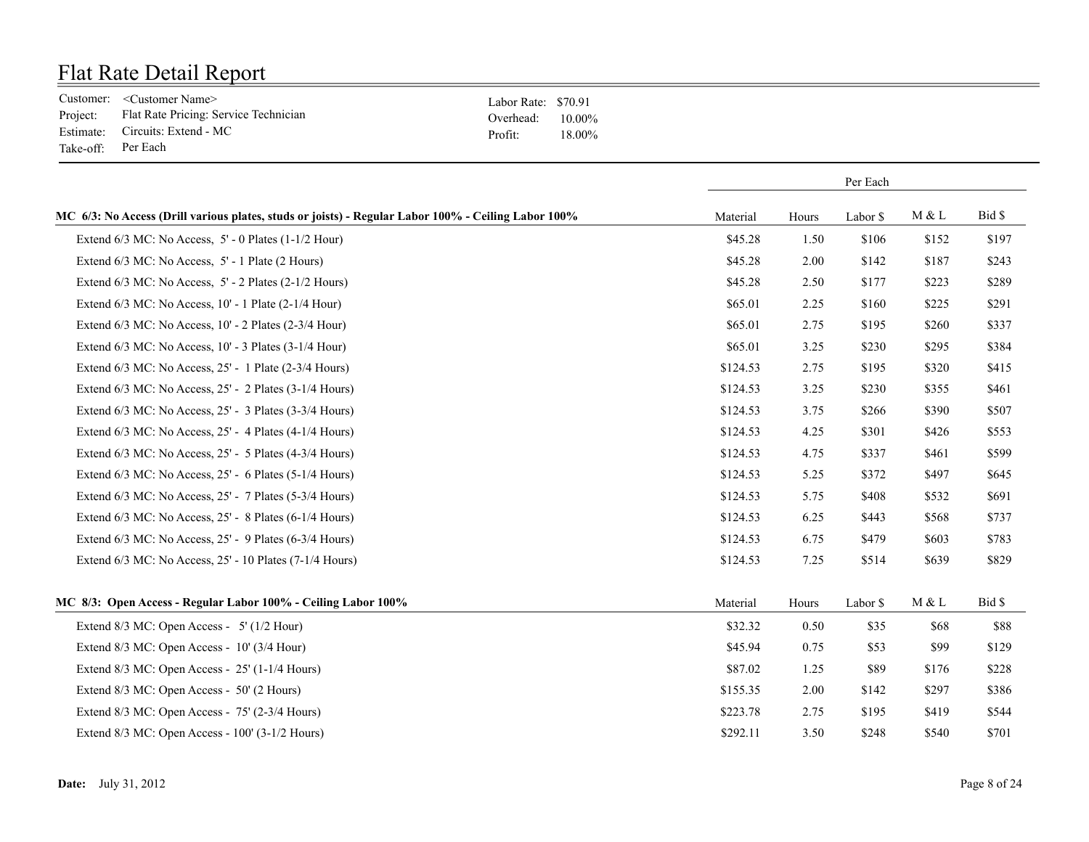|                    | Customer: <customer name=""></customer>        | Labor Rate: \$70.91 |        |
|--------------------|------------------------------------------------|---------------------|--------|
|                    | Project: Flat Rate Pricing: Service Technician | Overhead: $10.00\%$ |        |
|                    | Estimate: Circuits: Extend - MC                | Profit:             | 18 00% |
| Take-off: Per Each |                                                |                     |        |

|                                                                                                     |          | Per Each |          |       |        |
|-----------------------------------------------------------------------------------------------------|----------|----------|----------|-------|--------|
| MC 6/3: No Access (Drill various plates, studs or joists) - Regular Labor 100% - Ceiling Labor 100% | Material | Hours    | Labor \$ | M & L | Bid \$ |
| Extend $6/3$ MC: No Access, $5'$ - 0 Plates $(1-1/2$ Hour)                                          | \$45.28  | 1.50     | \$106    | \$152 | \$197  |
| Extend 6/3 MC: No Access, 5' - 1 Plate (2 Hours)                                                    | \$45.28  | 2.00     | \$142    | \$187 | \$243  |
| Extend $6/3$ MC: No Access, $5'$ - 2 Plates $(2-1/2$ Hours)                                         | \$45.28  | 2.50     | \$177    | \$223 | \$289  |
| Extend 6/3 MC: No Access, 10' - 1 Plate (2-1/4 Hour)                                                | \$65.01  | 2.25     | \$160    | \$225 | \$291  |
| Extend 6/3 MC: No Access, 10' - 2 Plates (2-3/4 Hour)                                               | \$65.01  | 2.75     | \$195    | \$260 | \$337  |
| Extend 6/3 MC: No Access, 10' - 3 Plates (3-1/4 Hour)                                               | \$65.01  | 3.25     | \$230    | \$295 | \$384  |
| Extend 6/3 MC: No Access, 25' - 1 Plate (2-3/4 Hours)                                               | \$124.53 | 2.75     | \$195    | \$320 | \$415  |
| Extend $6/3$ MC: No Access, $25'$ - 2 Plates $(3-1/4$ Hours)                                        | \$124.53 | 3.25     | \$230    | \$355 | \$461  |
| Extend $6/3$ MC: No Access, $25'$ - 3 Plates $(3-3/4$ Hours)                                        | \$124.53 | 3.75     | \$266    | \$390 | \$507  |
| Extend 6/3 MC: No Access, 25' - 4 Plates (4-1/4 Hours)                                              | \$124.53 | 4.25     | \$301    | \$426 | \$553  |
| Extend 6/3 MC: No Access, 25' - 5 Plates (4-3/4 Hours)                                              | \$124.53 | 4.75     | \$337    | \$461 | \$599  |
| Extend 6/3 MC: No Access, 25' - 6 Plates (5-1/4 Hours)                                              | \$124.53 | 5.25     | \$372    | \$497 | \$645  |
| Extend $6/3$ MC: No Access, $25'$ - 7 Plates $(5-3/4$ Hours)                                        | \$124.53 | 5.75     | \$408    | \$532 | \$691  |
| Extend 6/3 MC: No Access, 25' - 8 Plates (6-1/4 Hours)                                              | \$124.53 | 6.25     | \$443    | \$568 | \$737  |
| Extend 6/3 MC: No Access, 25' - 9 Plates (6-3/4 Hours)                                              | \$124.53 | 6.75     | \$479    | \$603 | \$783  |
| Extend 6/3 MC: No Access, 25' - 10 Plates (7-1/4 Hours)                                             | \$124.53 | 7.25     | \$514    | \$639 | \$829  |
| MC 8/3: Open Access - Regular Labor 100% - Ceiling Labor 100%                                       | Material | Hours    | Labor \$ | M & L | Bid \$ |
| Extend 8/3 MC: Open Access - 5' (1/2 Hour)                                                          | \$32.32  | 0.50     | \$35     | \$68  | \$88   |
| Extend 8/3 MC: Open Access - 10' (3/4 Hour)                                                         | \$45.94  | 0.75     | \$53     | \$99  | \$129  |
| Extend 8/3 MC: Open Access - 25' (1-1/4 Hours)                                                      | \$87.02  | 1.25     | \$89     | \$176 | \$228  |
| Extend 8/3 MC: Open Access - 50' (2 Hours)                                                          | \$155.35 | 2.00     | \$142    | \$297 | \$386  |
| Extend 8/3 MC: Open Access - 75' (2-3/4 Hours)                                                      | \$223.78 | 2.75     | \$195    | \$419 | \$544  |
| Extend 8/3 MC: Open Access - 100' (3-1/2 Hours)                                                     | \$292.11 | 3.50     | \$248    | \$540 | \$701  |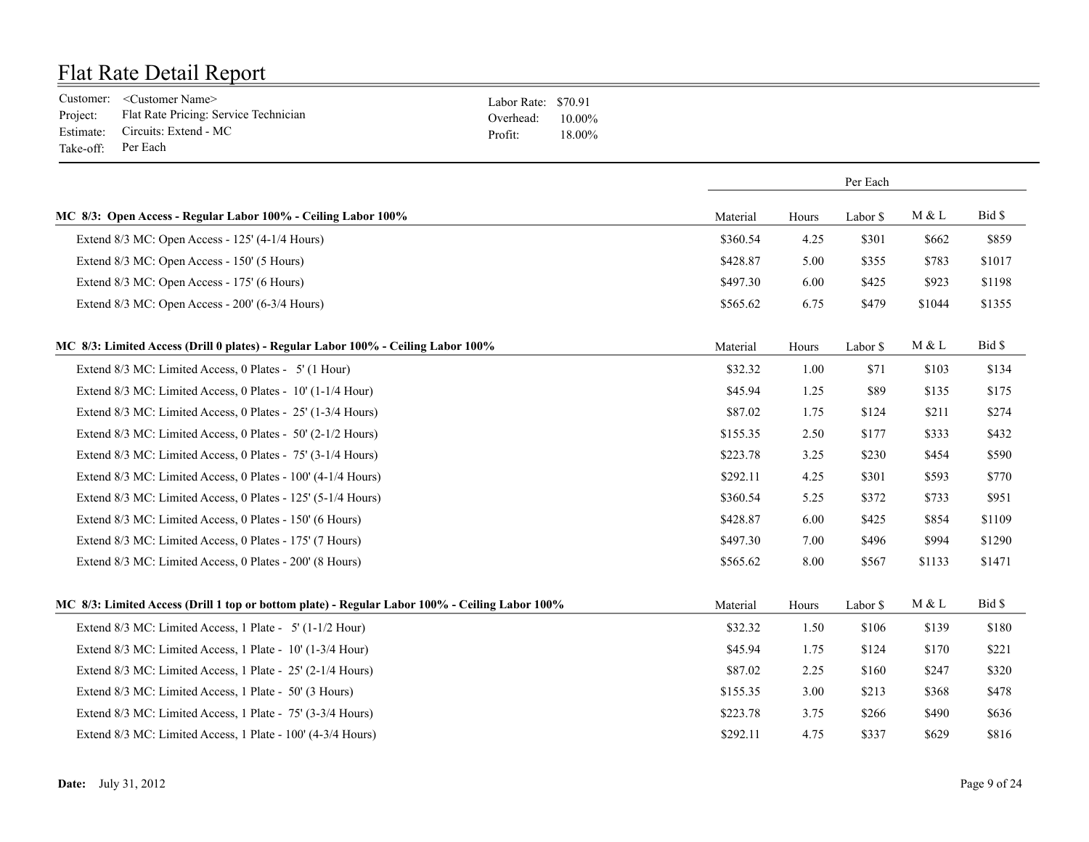|                    | Customer: <customer name=""></customer>        | Labor Rate: \$70.91 |        |
|--------------------|------------------------------------------------|---------------------|--------|
|                    | Project: Flat Rate Pricing: Service Technician | Overhead: $10.00\%$ |        |
|                    | Estimate: Circuits: Extend - MC                | Profit:             | 18.00% |
| Take-off: Per Each |                                                |                     |        |

|                                                                                                |          |       | Per Each |        |        |
|------------------------------------------------------------------------------------------------|----------|-------|----------|--------|--------|
| MC 8/3: Open Access - Regular Labor 100% - Ceiling Labor 100%                                  | Material | Hours | Labor \$ | M & L  | Bid \$ |
| Extend 8/3 MC: Open Access - 125' (4-1/4 Hours)                                                | \$360.54 | 4.25  | \$301    | \$662  | \$859  |
| Extend 8/3 MC: Open Access - 150' (5 Hours)                                                    | \$428.87 | 5.00  | \$355    | \$783  | \$1017 |
| Extend 8/3 MC: Open Access - 175' (6 Hours)                                                    | \$497.30 | 6.00  | \$425    | \$923  | \$1198 |
| Extend 8/3 MC: Open Access - 200' (6-3/4 Hours)                                                | \$565.62 | 6.75  | \$479    | \$1044 | \$1355 |
| MC 8/3: Limited Access (Drill 0 plates) - Regular Labor 100% - Ceiling Labor 100%              | Material | Hours | Labor \$ | M & L  | Bid \$ |
| Extend 8/3 MC: Limited Access, 0 Plates - 5' (1 Hour)                                          | \$32.32  | 1.00  | \$71     | \$103  | \$134  |
| Extend 8/3 MC: Limited Access, 0 Plates - 10' (1-1/4 Hour)                                     | \$45.94  | 1.25  | \$89     | \$135  | \$175  |
| Extend 8/3 MC: Limited Access, 0 Plates - 25' (1-3/4 Hours)                                    | \$87.02  | 1.75  | \$124    | \$211  | \$274  |
| Extend 8/3 MC: Limited Access, 0 Plates - 50' (2-1/2 Hours)                                    | \$155.35 | 2.50  | \$177    | \$333  | \$432  |
| Extend 8/3 MC: Limited Access, 0 Plates - 75' (3-1/4 Hours)                                    | \$223.78 | 3.25  | \$230    | \$454  | \$590  |
| Extend 8/3 MC: Limited Access, 0 Plates - 100' (4-1/4 Hours)                                   | \$292.11 | 4.25  | \$301    | \$593  | \$770  |
| Extend 8/3 MC: Limited Access, 0 Plates - 125' (5-1/4 Hours)                                   | \$360.54 | 5.25  | \$372    | \$733  | \$951  |
| Extend 8/3 MC: Limited Access, 0 Plates - 150' (6 Hours)                                       | \$428.87 | 6.00  | \$425    | \$854  | \$1109 |
| Extend 8/3 MC: Limited Access, 0 Plates - 175' (7 Hours)                                       | \$497.30 | 7.00  | \$496    | \$994  | \$1290 |
| Extend 8/3 MC: Limited Access, 0 Plates - 200' (8 Hours)                                       | \$565.62 | 8.00  | \$567    | \$1133 | \$1471 |
| MC 8/3: Limited Access (Drill 1 top or bottom plate) - Regular Labor 100% - Ceiling Labor 100% | Material | Hours | Labor \$ | M & L  | Bid \$ |
| Extend 8/3 MC: Limited Access, 1 Plate - 5' (1-1/2 Hour)                                       | \$32.32  | 1.50  | \$106    | \$139  | \$180  |
| Extend 8/3 MC: Limited Access, 1 Plate - 10' (1-3/4 Hour)                                      | \$45.94  | 1.75  | \$124    | \$170  | \$221  |
| Extend 8/3 MC: Limited Access, 1 Plate - 25' (2-1/4 Hours)                                     | \$87.02  | 2.25  | \$160    | \$247  | \$320  |
| Extend 8/3 MC: Limited Access, 1 Plate - 50' (3 Hours)                                         | \$155.35 | 3.00  | \$213    | \$368  | \$478  |
| Extend 8/3 MC: Limited Access, 1 Plate - 75' (3-3/4 Hours)                                     | \$223.78 | 3.75  | \$266    | \$490  | \$636  |
| Extend 8/3 MC: Limited Access, 1 Plate - 100' (4-3/4 Hours)                                    | \$292.11 | 4.75  | \$337    | \$629  | \$816  |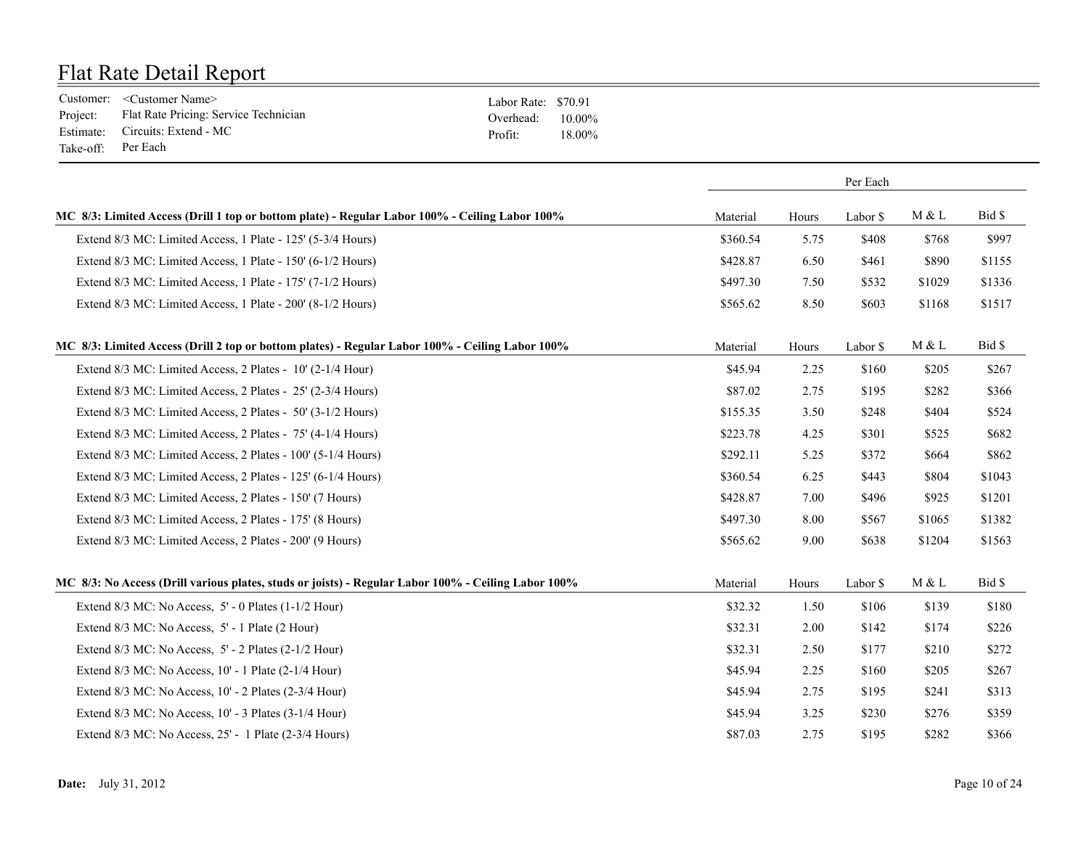|                    | Customer: <customer name=""></customer>        | Labor Rate: \$70.91 |        |
|--------------------|------------------------------------------------|---------------------|--------|
|                    | Project: Flat Rate Pricing: Service Technician | Overhead: $10.00\%$ |        |
|                    | Estimate: Circuits: Extend - MC                | Profit:             | 18.00% |
| Take-off: Per Each |                                                |                     |        |

|                                                                                                     |          |       | Per Each |        |        |
|-----------------------------------------------------------------------------------------------------|----------|-------|----------|--------|--------|
| MC 8/3: Limited Access (Drill 1 top or bottom plate) - Regular Labor 100% - Ceiling Labor 100%      | Material | Hours | Labor \$ | M & L  | Bid \$ |
| Extend 8/3 MC: Limited Access, 1 Plate - 125' (5-3/4 Hours)                                         | \$360.54 | 5.75  | \$408    | \$768  | \$997  |
| Extend 8/3 MC: Limited Access, 1 Plate - 150' (6-1/2 Hours)                                         | \$428.87 | 6.50  | \$461    | \$890  | \$1155 |
| Extend 8/3 MC: Limited Access, 1 Plate - 175' (7-1/2 Hours)                                         | \$497.30 | 7.50  | \$532    | \$1029 | \$1336 |
| Extend 8/3 MC: Limited Access, 1 Plate - 200' (8-1/2 Hours)                                         | \$565.62 | 8.50  | \$603    | \$1168 | \$1517 |
| MC 8/3: Limited Access (Drill 2 top or bottom plates) - Regular Labor 100% - Ceiling Labor 100%     | Material | Hours | Labor \$ | M & L  | Bid \$ |
| Extend 8/3 MC: Limited Access, 2 Plates - 10' (2-1/4 Hour)                                          | \$45.94  | 2.25  | \$160    | \$205  | \$267  |
| Extend 8/3 MC: Limited Access, 2 Plates - 25' (2-3/4 Hours)                                         | \$87.02  | 2.75  | \$195    | \$282  | \$366  |
| Extend 8/3 MC: Limited Access, 2 Plates - 50' (3-1/2 Hours)                                         | \$155.35 | 3.50  | \$248    | \$404  | \$524  |
| Extend 8/3 MC: Limited Access, 2 Plates - 75' (4-1/4 Hours)                                         | \$223.78 | 4.25  | \$301    | \$525  | \$682  |
| Extend 8/3 MC: Limited Access, 2 Plates - 100' (5-1/4 Hours)                                        | \$292.11 | 5.25  | \$372    | \$664  | \$862  |
| Extend 8/3 MC: Limited Access, 2 Plates - 125' (6-1/4 Hours)                                        | \$360.54 | 6.25  | \$443    | \$804  | \$1043 |
| Extend 8/3 MC: Limited Access, 2 Plates - 150' (7 Hours)                                            | \$428.87 | 7.00  | \$496    | \$925  | \$1201 |
| Extend 8/3 MC: Limited Access, 2 Plates - 175' (8 Hours)                                            | \$497.30 | 8.00  | \$567    | \$1065 | \$1382 |
| Extend 8/3 MC: Limited Access, 2 Plates - 200' (9 Hours)                                            | \$565.62 | 9.00  | \$638    | \$1204 | \$1563 |
| MC 8/3: No Access (Drill various plates, studs or joists) - Regular Labor 100% - Ceiling Labor 100% | Material | Hours | Labor \$ | M & L  | Bid \$ |
| Extend $8/3$ MC: No Access, $5'$ - 0 Plates $(1-1/2$ Hour)                                          | \$32.32  | 1.50  | \$106    | \$139  | \$180  |
| Extend 8/3 MC: No Access, 5' - 1 Plate (2 Hour)                                                     | \$32.31  | 2.00  | \$142    | \$174  | \$226  |
| Extend $8/3$ MC: No Access, $5'$ - 2 Plates (2-1/2 Hour)                                            | \$32.31  | 2.50  | \$177    | \$210  | \$272  |
| Extend 8/3 MC: No Access, 10' - 1 Plate (2-1/4 Hour)                                                | \$45.94  | 2.25  | \$160    | \$205  | \$267  |
| Extend 8/3 MC: No Access, 10' - 2 Plates (2-3/4 Hour)                                               | \$45.94  | 2.75  | \$195    | \$241  | \$313  |
| Extend 8/3 MC: No Access, 10' - 3 Plates (3-1/4 Hour)                                               | \$45.94  | 3.25  | \$230    | \$276  | \$359  |
| Extend 8/3 MC: No Access, 25' - 1 Plate (2-3/4 Hours)                                               | \$87.03  | 2.75  | \$195    | \$282  | \$366  |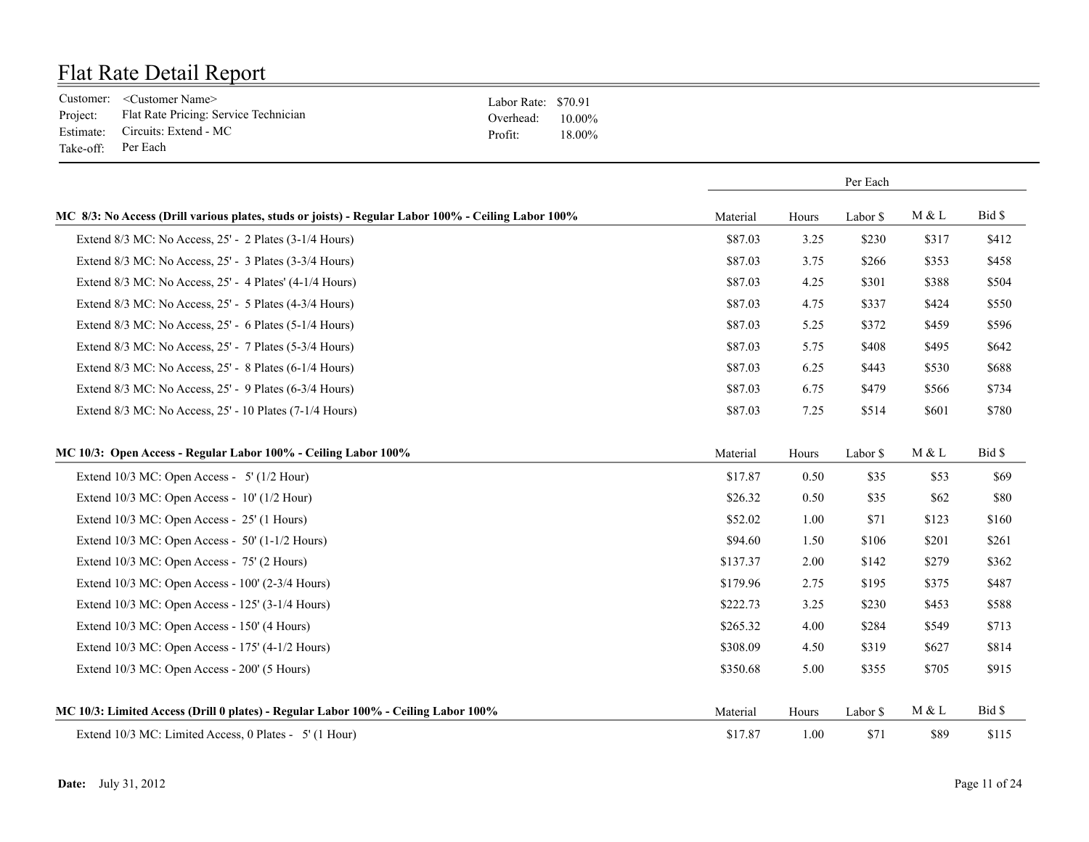|                    | Customer: <customer name=""></customer>        | Labor Rate: \$70.91 |        |
|--------------------|------------------------------------------------|---------------------|--------|
|                    | Project: Flat Rate Pricing: Service Technician | Overhead: $10.00\%$ |        |
|                    | Estimate: Circuits: Extend - MC                | Profit:             | 18.00% |
| Take-off: Per Each |                                                |                     |        |

|                                                                                                     | Per Each |       |          |       |        |
|-----------------------------------------------------------------------------------------------------|----------|-------|----------|-------|--------|
| MC 8/3: No Access (Drill various plates, studs or joists) - Regular Labor 100% - Ceiling Labor 100% | Material | Hours | Labor \$ | M & L | Bid \$ |
| Extend 8/3 MC: No Access, 25' - 2 Plates (3-1/4 Hours)                                              | \$87.03  | 3.25  | \$230    | \$317 | \$412  |
| Extend 8/3 MC: No Access, 25' - 3 Plates (3-3/4 Hours)                                              | \$87.03  | 3.75  | \$266    | \$353 | \$458  |
| Extend $8/3$ MC: No Access, $25'$ - 4 Plates' (4-1/4 Hours)                                         | \$87.03  | 4.25  | \$301    | \$388 | \$504  |
| Extend 8/3 MC: No Access, 25' - 5 Plates (4-3/4 Hours)                                              | \$87.03  | 4.75  | \$337    | \$424 | \$550  |
| Extend 8/3 MC: No Access, 25' - 6 Plates (5-1/4 Hours)                                              | \$87.03  | 5.25  | \$372    | \$459 | \$596  |
| Extend 8/3 MC: No Access, 25' - 7 Plates (5-3/4 Hours)                                              | \$87.03  | 5.75  | \$408    | \$495 | \$642  |
| Extend 8/3 MC: No Access, 25' - 8 Plates (6-1/4 Hours)                                              | \$87.03  | 6.25  | \$443    | \$530 | \$688  |
| Extend 8/3 MC: No Access, 25' - 9 Plates (6-3/4 Hours)                                              | \$87.03  | 6.75  | \$479    | \$566 | \$734  |
| Extend 8/3 MC: No Access, 25' - 10 Plates (7-1/4 Hours)                                             | \$87.03  | 7.25  | \$514    | \$601 | \$780  |
| MC 10/3: Open Access - Regular Labor 100% - Ceiling Labor 100%                                      | Material | Hours | Labor \$ | M & L | Bid \$ |
| Extend $10/3$ MC: Open Access - 5' ( $1/2$ Hour)                                                    | \$17.87  | 0.50  | \$35     | \$53  | \$69   |
| Extend $10/3$ MC: Open Access - $10'$ ( $1/2$ Hour)                                                 | \$26.32  | 0.50  | \$35     | \$62  | \$80   |
| Extend 10/3 MC: Open Access - 25' (1 Hours)                                                         | \$52.02  | 1.00  | \$71     | \$123 | \$160  |
| Extend 10/3 MC: Open Access - 50' (1-1/2 Hours)                                                     | \$94.60  | 1.50  | \$106    | \$201 | \$261  |
| Extend 10/3 MC: Open Access - 75' (2 Hours)                                                         | \$137.37 | 2.00  | \$142    | \$279 | \$362  |
| Extend 10/3 MC: Open Access - 100' (2-3/4 Hours)                                                    | \$179.96 | 2.75  | \$195    | \$375 | \$487  |
| Extend 10/3 MC: Open Access - 125' (3-1/4 Hours)                                                    | \$222.73 | 3.25  | \$230    | \$453 | \$588  |
| Extend 10/3 MC: Open Access - 150' (4 Hours)                                                        | \$265.32 | 4.00  | \$284    | \$549 | \$713  |
| Extend 10/3 MC: Open Access - 175' (4-1/2 Hours)                                                    | \$308.09 | 4.50  | \$319    | \$627 | \$814  |
| Extend 10/3 MC: Open Access - 200' (5 Hours)                                                        | \$350.68 | 5.00  | \$355    | \$705 | \$915  |
| MC 10/3: Limited Access (Drill 0 plates) - Regular Labor 100% - Ceiling Labor 100%                  | Material | Hours | Labor \$ | M & L | Bid \$ |
| Extend 10/3 MC: Limited Access, 0 Plates - 5' (1 Hour)                                              | \$17.87  | 1.00  | \$71     | \$89  | \$115  |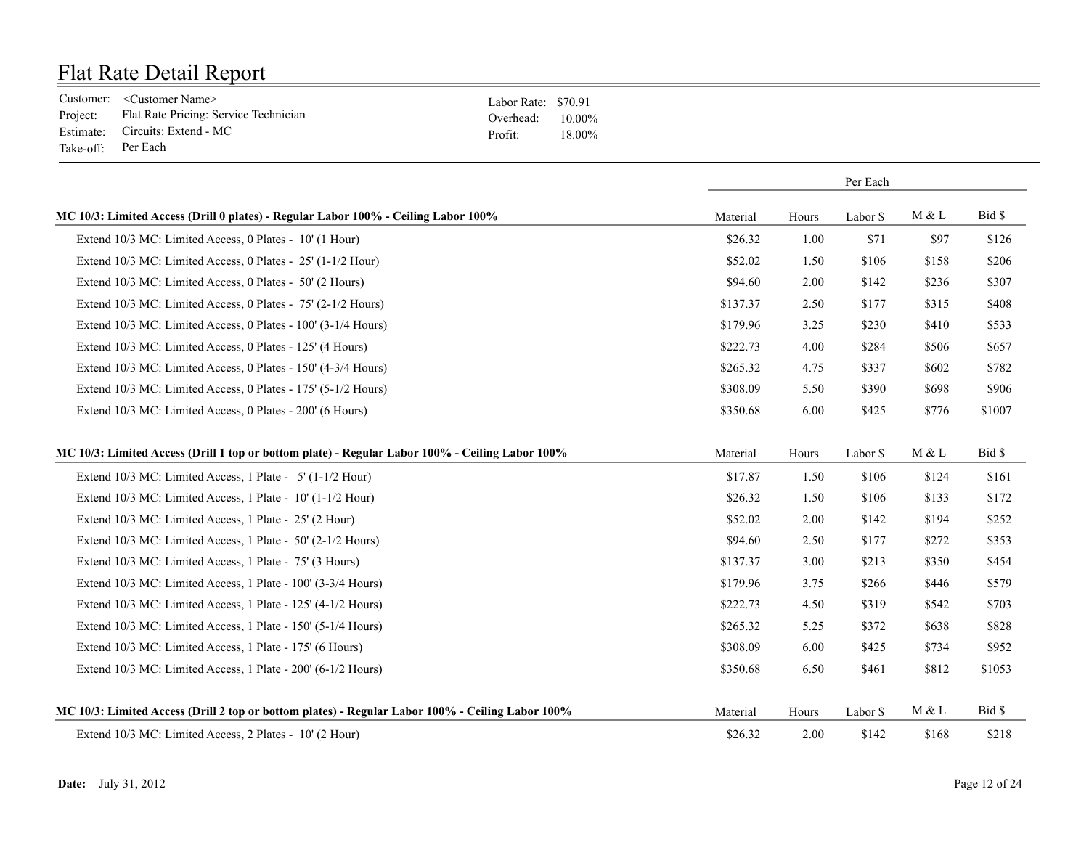|                    | Customer: <customer name=""></customer>        | Labor Rate: \$70.91 |        |
|--------------------|------------------------------------------------|---------------------|--------|
|                    | Project: Flat Rate Pricing: Service Technician | Overhead: $10.00\%$ |        |
|                    | Estimate: Circuits: Extend - MC                | Profit:             | 18 00% |
| Take-off: Per Each |                                                |                     |        |

|                                                                                                  | Per Each |       |          |       |        |
|--------------------------------------------------------------------------------------------------|----------|-------|----------|-------|--------|
| MC 10/3: Limited Access (Drill 0 plates) - Regular Labor 100% - Ceiling Labor 100%               | Material | Hours | Labor \$ | M & L | Bid \$ |
| Extend 10/3 MC: Limited Access, 0 Plates - 10' (1 Hour)                                          | \$26.32  | 1.00  | \$71     | \$97  | \$126  |
| Extend 10/3 MC: Limited Access, 0 Plates - 25' (1-1/2 Hour)                                      | \$52.02  | 1.50  | \$106    | \$158 | \$206  |
| Extend 10/3 MC: Limited Access, 0 Plates - 50' (2 Hours)                                         | \$94.60  | 2.00  | \$142    | \$236 | \$307  |
| Extend 10/3 MC: Limited Access, 0 Plates - 75' (2-1/2 Hours)                                     | \$137.37 | 2.50  | \$177    | \$315 | \$408  |
| Extend 10/3 MC: Limited Access, 0 Plates - 100' (3-1/4 Hours)                                    | \$179.96 | 3.25  | \$230    | \$410 | \$533  |
| Extend 10/3 MC: Limited Access, 0 Plates - 125' (4 Hours)                                        | \$222.73 | 4.00  | \$284    | \$506 | \$657  |
| Extend 10/3 MC: Limited Access, 0 Plates - 150' (4-3/4 Hours)                                    | \$265.32 | 4.75  | \$337    | \$602 | \$782  |
| Extend 10/3 MC: Limited Access, 0 Plates - 175' (5-1/2 Hours)                                    | \$308.09 | 5.50  | \$390    | \$698 | \$906  |
| Extend 10/3 MC: Limited Access, 0 Plates - 200' (6 Hours)                                        | \$350.68 | 6.00  | \$425    | \$776 | \$1007 |
| MC 10/3: Limited Access (Drill 1 top or bottom plate) - Regular Labor 100% - Ceiling Labor 100%  | Material | Hours | Labor \$ | M & L | Bid \$ |
| Extend 10/3 MC: Limited Access, 1 Plate - 5' (1-1/2 Hour)                                        | \$17.87  | 1.50  | \$106    | \$124 | \$161  |
| Extend 10/3 MC: Limited Access, 1 Plate - 10' (1-1/2 Hour)                                       | \$26.32  | 1.50  | \$106    | \$133 | \$172  |
| Extend 10/3 MC: Limited Access, 1 Plate - 25' (2 Hour)                                           | \$52.02  | 2.00  | \$142    | \$194 | \$252  |
| Extend 10/3 MC: Limited Access, 1 Plate - 50' (2-1/2 Hours)                                      | \$94.60  | 2.50  | \$177    | \$272 | \$353  |
| Extend 10/3 MC: Limited Access, 1 Plate - 75' (3 Hours)                                          | \$137.37 | 3.00  | \$213    | \$350 | \$454  |
| Extend 10/3 MC: Limited Access, 1 Plate - 100' (3-3/4 Hours)                                     | \$179.96 | 3.75  | \$266    | \$446 | \$579  |
| Extend 10/3 MC: Limited Access, 1 Plate - 125' (4-1/2 Hours)                                     | \$222.73 | 4.50  | \$319    | \$542 | \$703  |
| Extend 10/3 MC: Limited Access, 1 Plate - 150' (5-1/4 Hours)                                     | \$265.32 | 5.25  | \$372    | \$638 | \$828  |
| Extend 10/3 MC: Limited Access, 1 Plate - 175' (6 Hours)                                         | \$308.09 | 6.00  | \$425    | \$734 | \$952  |
| Extend 10/3 MC: Limited Access, 1 Plate - 200' (6-1/2 Hours)                                     | \$350.68 | 6.50  | \$461    | \$812 | \$1053 |
| MC 10/3: Limited Access (Drill 2 top or bottom plates) - Regular Labor 100% - Ceiling Labor 100% | Material | Hours | Labor \$ | M & L | Bid \$ |
| Extend 10/3 MC: Limited Access, 2 Plates - 10' (2 Hour)                                          | \$26.32  | 2.00  | \$142    | \$168 | \$218  |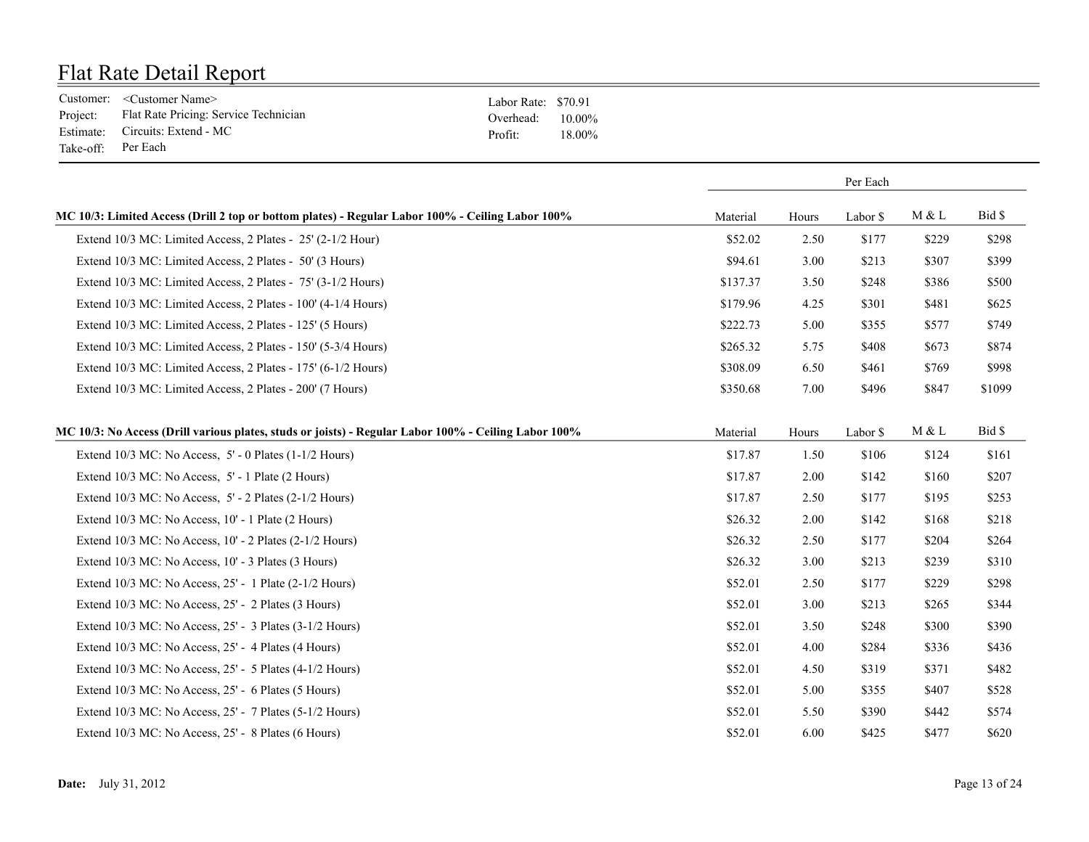|                    | Customer: <customer name=""></customer>        | Labor Rate: \$70.91 |        |
|--------------------|------------------------------------------------|---------------------|--------|
|                    | Project: Flat Rate Pricing: Service Technician | Overhead: $10.00\%$ |        |
|                    | Estimate: Circuits: Extend - MC                | Profit:             | 18.00% |
| Take-off: Per Each |                                                |                     |        |

|                                                                                                      |          | Per Each |          |       |        |
|------------------------------------------------------------------------------------------------------|----------|----------|----------|-------|--------|
| MC 10/3: Limited Access (Drill 2 top or bottom plates) - Regular Labor 100% - Ceiling Labor 100%     | Material | Hours    | Labor \$ | M & L | Bid \$ |
| Extend 10/3 MC: Limited Access, 2 Plates - 25' (2-1/2 Hour)                                          | \$52.02  | 2.50     | \$177    | \$229 | \$298  |
| Extend 10/3 MC: Limited Access, 2 Plates - 50' (3 Hours)                                             | \$94.61  | 3.00     | \$213    | \$307 | \$399  |
| Extend 10/3 MC: Limited Access, 2 Plates - 75' (3-1/2 Hours)                                         | \$137.37 | 3.50     | \$248    | \$386 | \$500  |
| Extend 10/3 MC: Limited Access, 2 Plates - 100' (4-1/4 Hours)                                        | \$179.96 | 4.25     | \$301    | \$481 | \$625  |
| Extend 10/3 MC: Limited Access, 2 Plates - 125' (5 Hours)                                            | \$222.73 | 5.00     | \$355    | \$577 | \$749  |
| Extend 10/3 MC: Limited Access, 2 Plates - 150' (5-3/4 Hours)                                        | \$265.32 | 5.75     | \$408    | \$673 | \$874  |
| Extend 10/3 MC: Limited Access, 2 Plates - 175' (6-1/2 Hours)                                        | \$308.09 | 6.50     | \$461    | \$769 | \$998  |
| Extend 10/3 MC: Limited Access, 2 Plates - 200' (7 Hours)                                            | \$350.68 | 7.00     | \$496    | \$847 | \$1099 |
| MC 10/3: No Access (Drill various plates, studs or joists) - Regular Labor 100% - Ceiling Labor 100% | Material | Hours    | Labor \$ | M & L | Bid \$ |
| Extend $10/3$ MC: No Access, $5'$ - 0 Plates $(1-1/2$ Hours)                                         | \$17.87  | 1.50     | \$106    | \$124 | \$161  |
| Extend 10/3 MC: No Access, 5' - 1 Plate (2 Hours)                                                    | \$17.87  | 2.00     | \$142    | \$160 | \$207  |
| Extend 10/3 MC: No Access, 5' - 2 Plates (2-1/2 Hours)                                               | \$17.87  | 2.50     | \$177    | \$195 | \$253  |
| Extend 10/3 MC: No Access, 10' - 1 Plate (2 Hours)                                                   | \$26.32  | 2.00     | \$142    | \$168 | \$218  |
| Extend 10/3 MC: No Access, 10' - 2 Plates (2-1/2 Hours)                                              | \$26.32  | 2.50     | \$177    | \$204 | \$264  |
| Extend 10/3 MC: No Access, 10' - 3 Plates (3 Hours)                                                  | \$26.32  | 3.00     | \$213    | \$239 | \$310  |
| Extend 10/3 MC: No Access, 25' - 1 Plate (2-1/2 Hours)                                               | \$52.01  | 2.50     | \$177    | \$229 | \$298  |
| Extend 10/3 MC: No Access, 25' - 2 Plates (3 Hours)                                                  | \$52.01  | 3.00     | \$213    | \$265 | \$344  |
| Extend 10/3 MC: No Access, 25' - 3 Plates (3-1/2 Hours)                                              | \$52.01  | 3.50     | \$248    | \$300 | \$390  |
| Extend 10/3 MC: No Access, 25' - 4 Plates (4 Hours)                                                  | \$52.01  | 4.00     | \$284    | \$336 | \$436  |
| Extend 10/3 MC: No Access, 25' - 5 Plates (4-1/2 Hours)                                              | \$52.01  | 4.50     | \$319    | \$371 | \$482  |
| Extend 10/3 MC: No Access, 25' - 6 Plates (5 Hours)                                                  | \$52.01  | 5.00     | \$355    | \$407 | \$528  |
| Extend 10/3 MC: No Access, 25' - 7 Plates (5-1/2 Hours)                                              | \$52.01  | 5.50     | \$390    | \$442 | \$574  |
| Extend 10/3 MC: No Access, 25' - 8 Plates (6 Hours)                                                  | \$52.01  | 6.00     | \$425    | \$477 | \$620  |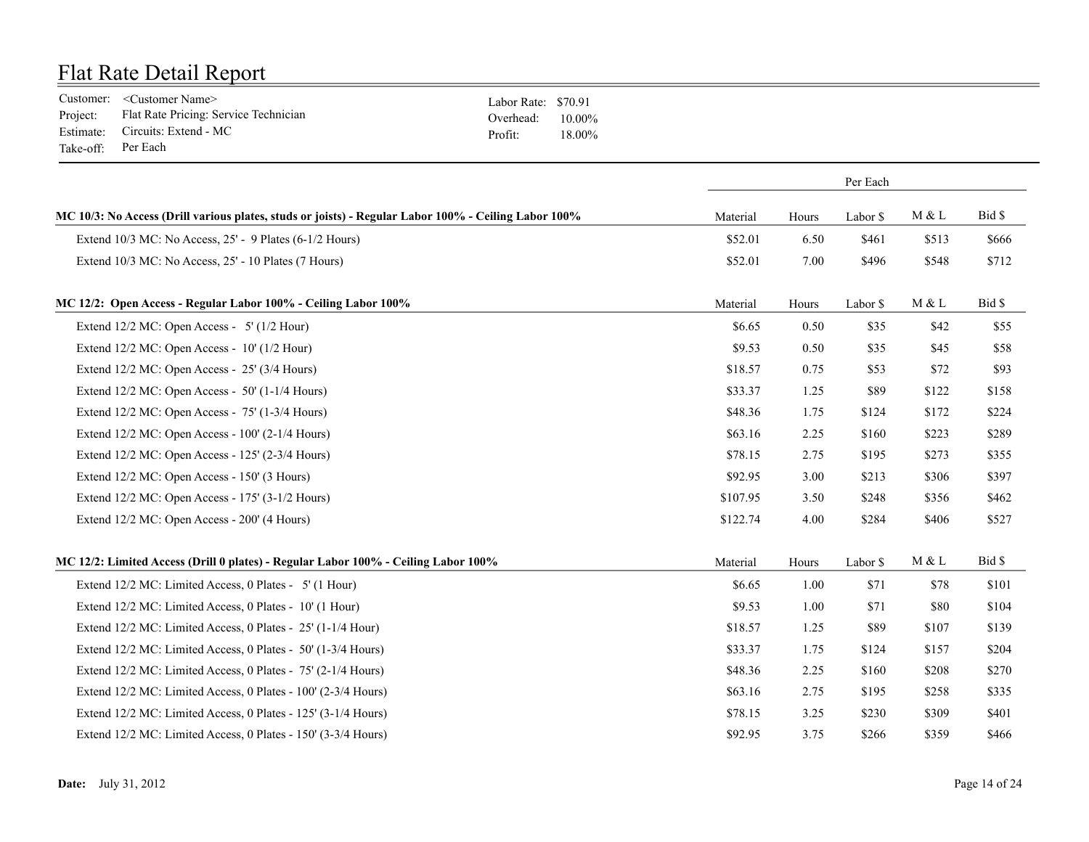|                    | Customer: <customer name=""></customer>        | Labor Rate: \$70.91 |        |
|--------------------|------------------------------------------------|---------------------|--------|
|                    | Project: Flat Rate Pricing: Service Technician | Overhead: $10.00\%$ |        |
|                    | Estimate: Circuits: Extend - MC                | Profit:             | 18.00% |
| Take-off: Per Each |                                                |                     |        |

|                                                                                                      |          | Per Each |          |       |        |
|------------------------------------------------------------------------------------------------------|----------|----------|----------|-------|--------|
| MC 10/3: No Access (Drill various plates, studs or joists) - Regular Labor 100% - Ceiling Labor 100% | Material | Hours    | Labor \$ | M & L | Bid \$ |
| Extend $10/3$ MC: No Access, $25'$ - 9 Plates (6-1/2 Hours)                                          | \$52.01  | 6.50     | \$461    | \$513 | \$666  |
| Extend 10/3 MC: No Access, 25' - 10 Plates (7 Hours)                                                 | \$52.01  | 7.00     | \$496    | \$548 | \$712  |
| MC 12/2: Open Access - Regular Labor 100% - Ceiling Labor 100%                                       | Material | Hours    | Labor \$ | M & L | Bid \$ |
| Extend $12/2$ MC: Open Access - 5' ( $1/2$ Hour)                                                     | \$6.65   | 0.50     | \$35     | \$42  | \$55   |
| Extend 12/2 MC: Open Access - 10' (1/2 Hour)                                                         | \$9.53   | 0.50     | \$35     | \$45  | \$58   |
| Extend 12/2 MC: Open Access - 25' (3/4 Hours)                                                        | \$18.57  | 0.75     | \$53     | \$72  | \$93   |
| Extend $12/2$ MC: Open Access - 50' (1-1/4 Hours)                                                    | \$33.37  | 1.25     | \$89     | \$122 | \$158  |
| Extend 12/2 MC: Open Access - 75' (1-3/4 Hours)                                                      | \$48.36  | 1.75     | \$124    | \$172 | \$224  |
| Extend $12/2$ MC: Open Access - $100'$ (2- $1/4$ Hours)                                              | \$63.16  | 2.25     | \$160    | \$223 | \$289  |
| Extend 12/2 MC: Open Access - 125' (2-3/4 Hours)                                                     | \$78.15  | 2.75     | \$195    | \$273 | \$355  |
| Extend 12/2 MC: Open Access - 150' (3 Hours)                                                         | \$92.95  | 3.00     | \$213    | \$306 | \$397  |
| Extend 12/2 MC: Open Access - 175' (3-1/2 Hours)                                                     | \$107.95 | 3.50     | \$248    | \$356 | \$462  |
| Extend 12/2 MC: Open Access - 200' (4 Hours)                                                         | \$122.74 | 4.00     | \$284    | \$406 | \$527  |
| MC 12/2: Limited Access (Drill 0 plates) - Regular Labor 100% - Ceiling Labor 100%                   | Material | Hours    | Labor \$ | M & L | Bid \$ |
| Extend 12/2 MC: Limited Access, 0 Plates - 5' (1 Hour)                                               | \$6.65   | 1.00     | \$71     | \$78  | \$101  |
| Extend 12/2 MC: Limited Access, 0 Plates - 10' (1 Hour)                                              | \$9.53   | 1.00     | \$71     | \$80  | \$104  |
| Extend 12/2 MC: Limited Access, 0 Plates - 25' (1-1/4 Hour)                                          | \$18.57  | 1.25     | \$89     | \$107 | \$139  |
| Extend 12/2 MC: Limited Access, 0 Plates - 50' (1-3/4 Hours)                                         | \$33.37  | 1.75     | \$124    | \$157 | \$204  |
| Extend 12/2 MC: Limited Access, 0 Plates - 75' (2-1/4 Hours)                                         | \$48.36  | 2.25     | \$160    | \$208 | \$270  |
| Extend 12/2 MC: Limited Access, 0 Plates - 100' (2-3/4 Hours)                                        | \$63.16  | 2.75     | \$195    | \$258 | \$335  |
| Extend 12/2 MC: Limited Access, 0 Plates - 125' (3-1/4 Hours)                                        | \$78.15  | 3.25     | \$230    | \$309 | \$401  |
| Extend 12/2 MC: Limited Access, 0 Plates - 150' (3-3/4 Hours)                                        | \$92.95  | 3.75     | \$266    | \$359 | \$466  |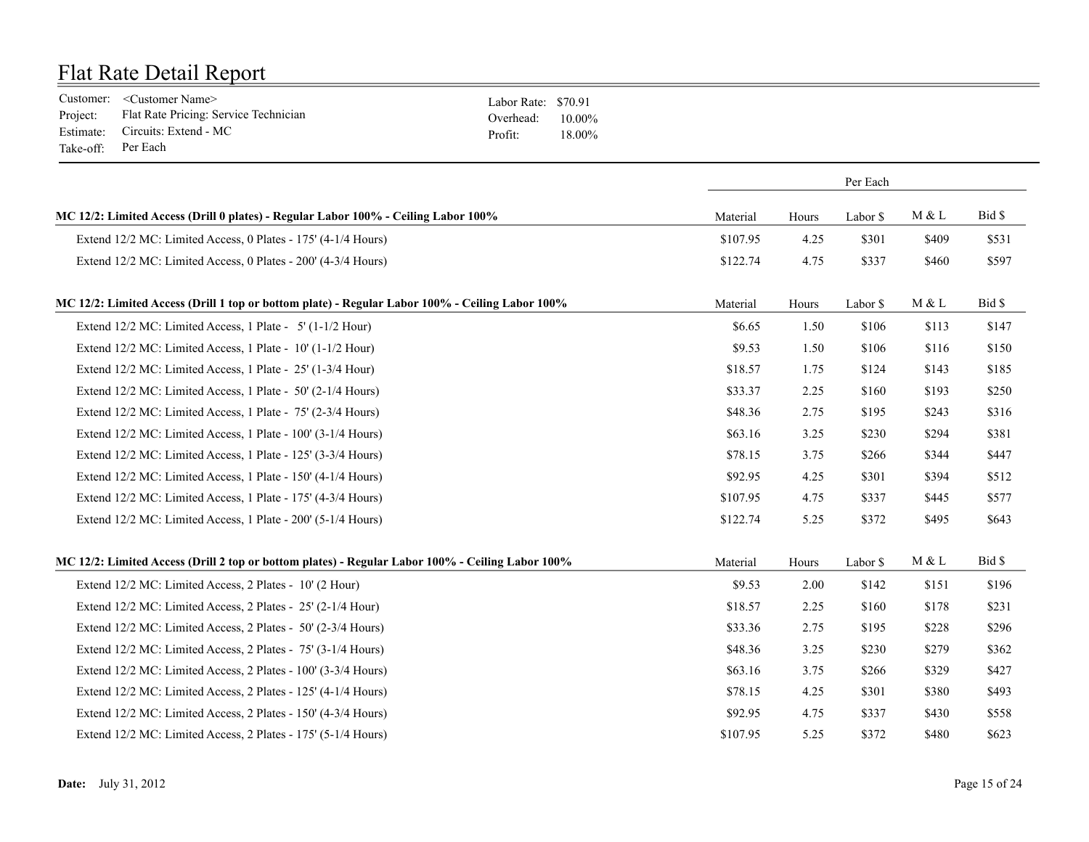|                    | Customer: <customer name=""></customer>        | Labor Rate: \$70.91 |        |
|--------------------|------------------------------------------------|---------------------|--------|
|                    | Project: Flat Rate Pricing: Service Technician | Overhead: $10.00\%$ |        |
|                    | Estimate: Circuits: Extend - MC                | Profit:             | 18.00% |
| Take-off: Per Each |                                                |                     |        |

|                                                                                                  | Per Each |       |          |          |        |
|--------------------------------------------------------------------------------------------------|----------|-------|----------|----------|--------|
| MC 12/2: Limited Access (Drill 0 plates) - Regular Labor 100% - Ceiling Labor 100%               | Material | Hours | Labor \$ | M & L    | Bid \$ |
| Extend 12/2 MC: Limited Access, 0 Plates - 175' (4-1/4 Hours)                                    | \$107.95 | 4.25  | \$301    | \$409    | \$531  |
| Extend 12/2 MC: Limited Access, 0 Plates - 200' (4-3/4 Hours)                                    | \$122.74 | 4.75  | \$337    | \$460    | \$597  |
| MC 12/2: Limited Access (Drill 1 top or bottom plate) - Regular Labor 100% - Ceiling Labor 100%  | Material | Hours | Labor \$ | M & L    | Bid \$ |
| Extend 12/2 MC: Limited Access, 1 Plate - 5' (1-1/2 Hour)                                        | \$6.65   | 1.50  | \$106    | \$113    | \$147  |
| Extend 12/2 MC: Limited Access, 1 Plate - 10' (1-1/2 Hour)                                       | \$9.53   | 1.50  | \$106    | \$116    | \$150  |
| Extend 12/2 MC: Limited Access, 1 Plate - 25' (1-3/4 Hour)                                       | \$18.57  | 1.75  | \$124    | \$143    | \$185  |
| Extend 12/2 MC: Limited Access, 1 Plate - 50' (2-1/4 Hours)                                      | \$33.37  | 2.25  | \$160    | \$193    | \$250  |
| Extend 12/2 MC: Limited Access, 1 Plate - 75' (2-3/4 Hours)                                      | \$48.36  | 2.75  | \$195    | \$243    | \$316  |
| Extend 12/2 MC: Limited Access, 1 Plate - 100' (3-1/4 Hours)                                     | \$63.16  | 3.25  | \$230    | \$294    | \$381  |
| Extend 12/2 MC: Limited Access, 1 Plate - 125' (3-3/4 Hours)                                     | \$78.15  | 3.75  | \$266    | \$344    | \$447  |
| Extend 12/2 MC: Limited Access, 1 Plate - 150' (4-1/4 Hours)                                     | \$92.95  | 4.25  | \$301    | \$394    | \$512  |
| Extend 12/2 MC: Limited Access, 1 Plate - 175' (4-3/4 Hours)                                     | \$107.95 | 4.75  | \$337    | \$445    | \$577  |
| Extend 12/2 MC: Limited Access, 1 Plate - 200' (5-1/4 Hours)                                     | \$122.74 | 5.25  | \$372    | \$495    | \$643  |
| MC 12/2: Limited Access (Drill 2 top or bottom plates) - Regular Labor 100% - Ceiling Labor 100% | Material | Hours | Labor \$ | $M \& L$ | Bid \$ |
| Extend 12/2 MC: Limited Access, 2 Plates - 10' (2 Hour)                                          | \$9.53   | 2.00  | \$142    | \$151    | \$196  |
| Extend 12/2 MC: Limited Access, 2 Plates - 25' (2-1/4 Hour)                                      | \$18.57  | 2.25  | \$160    | \$178    | \$231  |
| Extend 12/2 MC: Limited Access, 2 Plates - 50' (2-3/4 Hours)                                     | \$33.36  | 2.75  | \$195    | \$228    | \$296  |
| Extend 12/2 MC: Limited Access, 2 Plates - 75' (3-1/4 Hours)                                     | \$48.36  | 3.25  | \$230    | \$279    | \$362  |
| Extend 12/2 MC: Limited Access, 2 Plates - 100' (3-3/4 Hours)                                    | \$63.16  | 3.75  | \$266    | \$329    | \$427  |
| Extend 12/2 MC: Limited Access, 2 Plates - 125' (4-1/4 Hours)                                    | \$78.15  | 4.25  | \$301    | \$380    | \$493  |
| Extend 12/2 MC: Limited Access, 2 Plates - 150' (4-3/4 Hours)                                    | \$92.95  | 4.75  | \$337    | \$430    | \$558  |
| Extend 12/2 MC: Limited Access, 2 Plates - 175' (5-1/4 Hours)                                    | \$107.95 | 5.25  | \$372    | \$480    | \$623  |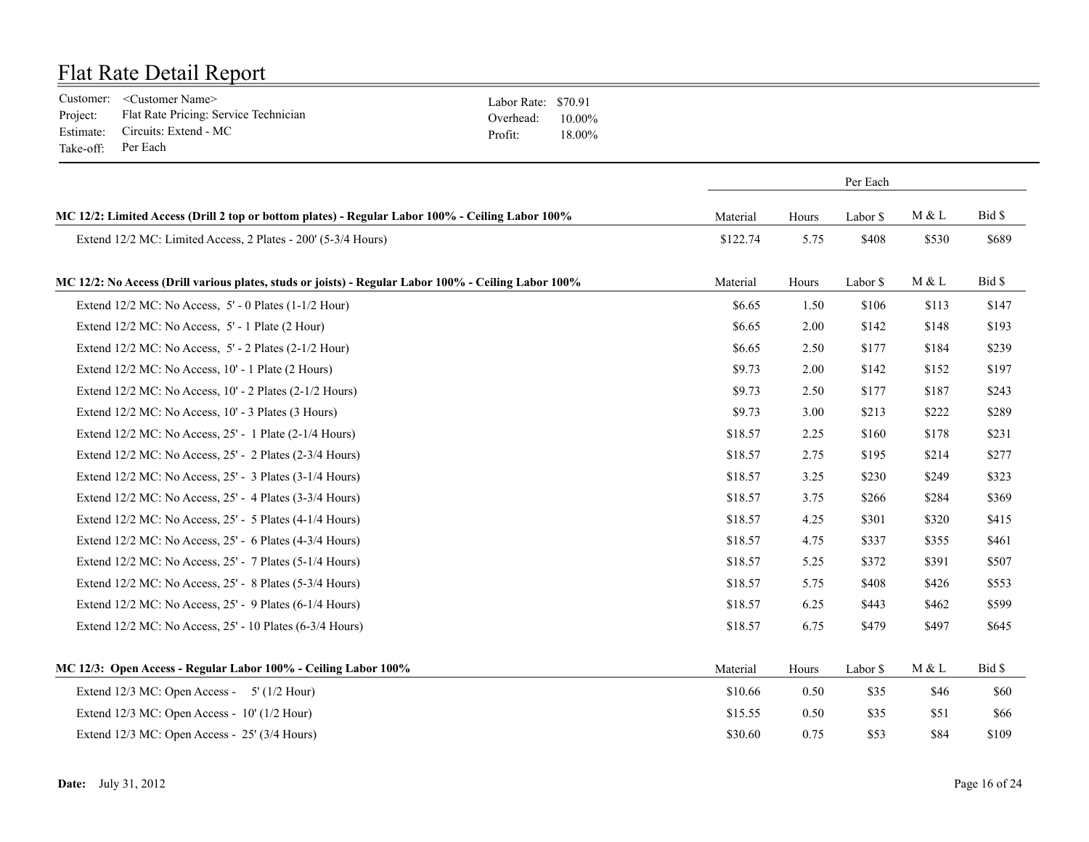|                    | Customer: <customer name=""></customer>        | Labor Rate: \$70.91 |        |
|--------------------|------------------------------------------------|---------------------|--------|
|                    | Project: Flat Rate Pricing: Service Technician | Overhead: $10.00\%$ |        |
|                    | Estimate: Circuits: Extend - MC                | Profit:             | 18.00% |
| Take-off: Per Each |                                                |                     |        |

|                                                                                                      | Per Each |       |          |       |        |
|------------------------------------------------------------------------------------------------------|----------|-------|----------|-------|--------|
| MC 12/2: Limited Access (Drill 2 top or bottom plates) - Regular Labor 100% - Ceiling Labor 100%     | Material | Hours | Labor \$ | M & L | Bid \$ |
| Extend 12/2 MC: Limited Access, 2 Plates - 200' (5-3/4 Hours)                                        | \$122.74 | 5.75  | \$408    | \$530 | \$689  |
| MC 12/2: No Access (Drill various plates, studs or joists) - Regular Labor 100% - Ceiling Labor 100% | Material | Hours | Labor \$ | M & L | Bid \$ |
| Extend 12/2 MC: No Access, 5' - 0 Plates (1-1/2 Hour)                                                | \$6.65   | 1.50  | \$106    | \$113 | \$147  |
| Extend 12/2 MC: No Access, 5' - 1 Plate (2 Hour)                                                     | \$6.65   | 2.00  | \$142    | \$148 | \$193  |
| Extend 12/2 MC: No Access, 5' - 2 Plates (2-1/2 Hour)                                                | \$6.65   | 2.50  | \$177    | \$184 | \$239  |
| Extend 12/2 MC: No Access, 10' - 1 Plate (2 Hours)                                                   | \$9.73   | 2.00  | \$142    | \$152 | \$197  |
| Extend 12/2 MC: No Access, 10' - 2 Plates (2-1/2 Hours)                                              | \$9.73   | 2.50  | \$177    | \$187 | \$243  |
| Extend 12/2 MC: No Access, 10' - 3 Plates (3 Hours)                                                  | \$9.73   | 3.00  | \$213    | \$222 | \$289  |
| Extend 12/2 MC: No Access, 25' - 1 Plate (2-1/4 Hours)                                               | \$18.57  | 2.25  | \$160    | \$178 | \$231  |
| Extend 12/2 MC: No Access, 25' - 2 Plates (2-3/4 Hours)                                              | \$18.57  | 2.75  | \$195    | \$214 | \$277  |
| Extend 12/2 MC: No Access, 25' - 3 Plates (3-1/4 Hours)                                              | \$18.57  | 3.25  | \$230    | \$249 | \$323  |
| Extend 12/2 MC: No Access, 25' - 4 Plates (3-3/4 Hours)                                              | \$18.57  | 3.75  | \$266    | \$284 | \$369  |
| Extend 12/2 MC: No Access, 25' - 5 Plates (4-1/4 Hours)                                              | \$18.57  | 4.25  | \$301    | \$320 | \$415  |
| Extend 12/2 MC: No Access, 25' - 6 Plates (4-3/4 Hours)                                              | \$18.57  | 4.75  | \$337    | \$355 | \$461  |
| Extend 12/2 MC: No Access, 25' - 7 Plates (5-1/4 Hours)                                              | \$18.57  | 5.25  | \$372    | \$391 | \$507  |
| Extend 12/2 MC: No Access, 25' - 8 Plates (5-3/4 Hours)                                              | \$18.57  | 5.75  | \$408    | \$426 | \$553  |
| Extend 12/2 MC: No Access, 25' - 9 Plates (6-1/4 Hours)                                              | \$18.57  | 6.25  | \$443    | \$462 | \$599  |
| Extend 12/2 MC: No Access, 25' - 10 Plates (6-3/4 Hours)                                             | \$18.57  | 6.75  | \$479    | \$497 | \$645  |
| MC 12/3: Open Access - Regular Labor 100% - Ceiling Labor 100%                                       | Material | Hours | Labor \$ | M & L | Bid \$ |
| Extend $12/3$ MC: Open Access - $5'$ ( $1/2$ Hour)                                                   | \$10.66  | 0.50  | \$35     | \$46  | \$60   |
| Extend $12/3$ MC: Open Access - $10'$ ( $1/2$ Hour)                                                  | \$15.55  | 0.50  | \$35     | \$51  | \$66   |
| Extend 12/3 MC: Open Access - 25' (3/4 Hours)                                                        | \$30.60  | 0.75  | \$53     | \$84  | \$109  |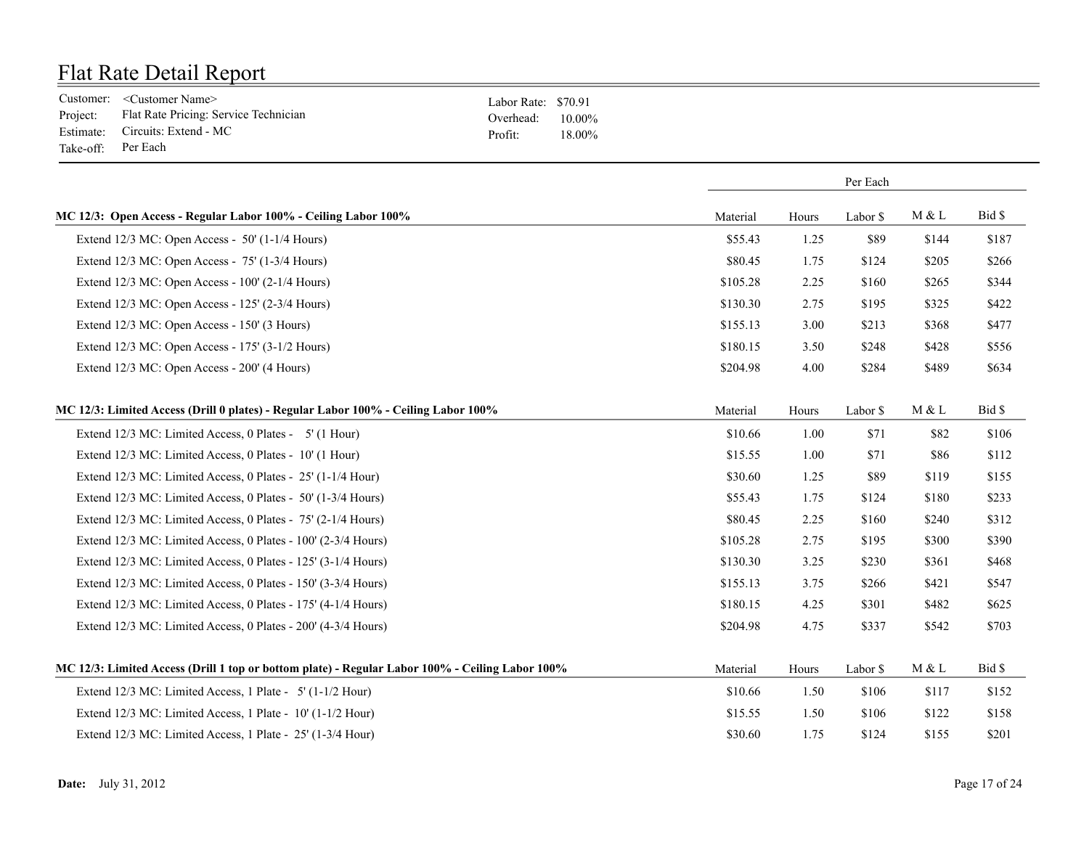|                    | Customer: <customer name=""></customer>        | Labor Rate: \$70.91 |        |
|--------------------|------------------------------------------------|---------------------|--------|
|                    | Project: Flat Rate Pricing: Service Technician | Overhead: $10.00\%$ |        |
|                    | Estimate: Circuits: Extend - MC                | Profit:             | 18 00% |
| Take-off: Per Each |                                                |                     |        |

|                                                                                                 |          | Per Each |          |       |        |
|-------------------------------------------------------------------------------------------------|----------|----------|----------|-------|--------|
| MC 12/3: Open Access - Regular Labor 100% - Ceiling Labor 100%                                  | Material | Hours    | Labor \$ | M & L | Bid \$ |
| Extend 12/3 MC: Open Access - 50' (1-1/4 Hours)                                                 | \$55.43  | 1.25     | \$89     | \$144 | \$187  |
| Extend $12/3$ MC: Open Access - 75' (1-3/4 Hours)                                               | \$80.45  | 1.75     | \$124    | \$205 | \$266  |
| Extend 12/3 MC: Open Access - 100' (2-1/4 Hours)                                                | \$105.28 | 2.25     | \$160    | \$265 | \$344  |
| Extend 12/3 MC: Open Access - 125' (2-3/4 Hours)                                                | \$130.30 | 2.75     | \$195    | \$325 | \$422  |
| Extend 12/3 MC: Open Access - 150' (3 Hours)                                                    | \$155.13 | 3.00     | \$213    | \$368 | \$477  |
| Extend 12/3 MC: Open Access - 175' (3-1/2 Hours)                                                | \$180.15 | 3.50     | \$248    | \$428 | \$556  |
| Extend 12/3 MC: Open Access - 200' (4 Hours)                                                    | \$204.98 | 4.00     | \$284    | \$489 | \$634  |
| MC 12/3: Limited Access (Drill 0 plates) - Regular Labor 100% - Ceiling Labor 100%              | Material | Hours    | Labor \$ | M & L | Bid \$ |
| Extend 12/3 MC: Limited Access, 0 Plates - 5' (1 Hour)                                          | \$10.66  | 1.00     | \$71     | \$82  | \$106  |
| Extend 12/3 MC: Limited Access, 0 Plates - 10' (1 Hour)                                         | \$15.55  | 1.00     | \$71     | \$86  | \$112  |
| Extend 12/3 MC: Limited Access, 0 Plates - 25' (1-1/4 Hour)                                     | \$30.60  | 1.25     | \$89     | \$119 | \$155  |
| Extend 12/3 MC: Limited Access, 0 Plates - 50' (1-3/4 Hours)                                    | \$55.43  | 1.75     | \$124    | \$180 | \$233  |
| Extend 12/3 MC: Limited Access, 0 Plates - 75' (2-1/4 Hours)                                    | \$80.45  | 2.25     | \$160    | \$240 | \$312  |
| Extend 12/3 MC: Limited Access, 0 Plates - 100' (2-3/4 Hours)                                   | \$105.28 | 2.75     | \$195    | \$300 | \$390  |
| Extend 12/3 MC: Limited Access, 0 Plates - 125' (3-1/4 Hours)                                   | \$130.30 | 3.25     | \$230    | \$361 | \$468  |
| Extend 12/3 MC: Limited Access, 0 Plates - 150' (3-3/4 Hours)                                   | \$155.13 | 3.75     | \$266    | \$421 | \$547  |
| Extend 12/3 MC: Limited Access, 0 Plates - 175' (4-1/4 Hours)                                   | \$180.15 | 4.25     | \$301    | \$482 | \$625  |
| Extend 12/3 MC: Limited Access, 0 Plates - 200' (4-3/4 Hours)                                   | \$204.98 | 4.75     | \$337    | \$542 | \$703  |
| MC 12/3: Limited Access (Drill 1 top or bottom plate) - Regular Labor 100% - Ceiling Labor 100% | Material | Hours    | Labor \$ | M & L | Bid \$ |
| Extend 12/3 MC: Limited Access, 1 Plate - 5' (1-1/2 Hour)                                       | \$10.66  | 1.50     | \$106    | \$117 | \$152  |
| Extend 12/3 MC: Limited Access, 1 Plate - 10' (1-1/2 Hour)                                      | \$15.55  | 1.50     | \$106    | \$122 | \$158  |
| Extend 12/3 MC: Limited Access, 1 Plate - 25' (1-3/4 Hour)                                      | \$30.60  | 1.75     | \$124    | \$155 | \$201  |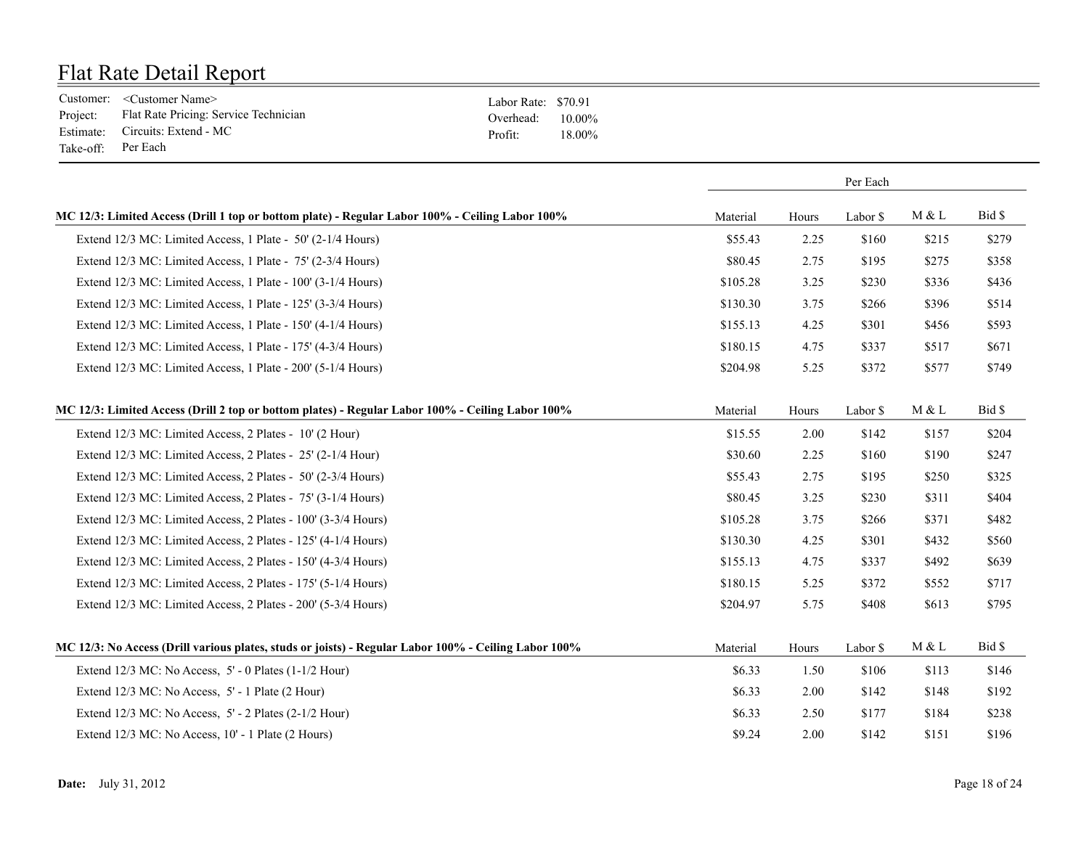|                    | Customer: <customer name=""></customer>        | Labor Rate: \$70.91 |        |
|--------------------|------------------------------------------------|---------------------|--------|
|                    | Project: Flat Rate Pricing: Service Technician | Overhead: $10.00\%$ |        |
|                    | Estimate: Circuits: Extend - MC                | Profit:             | 18.00% |
| Take-off: Per Each |                                                |                     |        |

|                                                                                                      | Per Each |       |          |       |        |
|------------------------------------------------------------------------------------------------------|----------|-------|----------|-------|--------|
| MC 12/3: Limited Access (Drill 1 top or bottom plate) - Regular Labor 100% - Ceiling Labor 100%      | Material | Hours | Labor \$ | M & L | Bid \$ |
| Extend 12/3 MC: Limited Access, 1 Plate - 50' (2-1/4 Hours)                                          | \$55.43  | 2.25  | \$160    | \$215 | \$279  |
| Extend 12/3 MC: Limited Access, 1 Plate - 75' (2-3/4 Hours)                                          | \$80.45  | 2.75  | \$195    | \$275 | \$358  |
| Extend 12/3 MC: Limited Access, 1 Plate - 100' (3-1/4 Hours)                                         | \$105.28 | 3.25  | \$230    | \$336 | \$436  |
| Extend 12/3 MC: Limited Access, 1 Plate - 125' (3-3/4 Hours)                                         | \$130.30 | 3.75  | \$266    | \$396 | \$514  |
| Extend 12/3 MC: Limited Access, 1 Plate - 150' (4-1/4 Hours)                                         | \$155.13 | 4.25  | \$301    | \$456 | \$593  |
| Extend 12/3 MC: Limited Access, 1 Plate - 175' (4-3/4 Hours)                                         | \$180.15 | 4.75  | \$337    | \$517 | \$671  |
| Extend 12/3 MC: Limited Access, 1 Plate - 200' (5-1/4 Hours)                                         | \$204.98 | 5.25  | \$372    | \$577 | \$749  |
| MC 12/3: Limited Access (Drill 2 top or bottom plates) - Regular Labor 100% - Ceiling Labor 100%     | Material | Hours | Labor \$ | M & L | Bid \$ |
| Extend 12/3 MC: Limited Access, 2 Plates - 10' (2 Hour)                                              | \$15.55  | 2.00  | \$142    | \$157 | \$204  |
| Extend 12/3 MC: Limited Access, 2 Plates - 25' (2-1/4 Hour)                                          | \$30.60  | 2.25  | \$160    | \$190 | \$247  |
| Extend 12/3 MC: Limited Access, 2 Plates - 50' (2-3/4 Hours)                                         | \$55.43  | 2.75  | \$195    | \$250 | \$325  |
| Extend 12/3 MC: Limited Access, 2 Plates - 75' (3-1/4 Hours)                                         | \$80.45  | 3.25  | \$230    | \$311 | \$404  |
| Extend 12/3 MC: Limited Access, 2 Plates - 100' (3-3/4 Hours)                                        | \$105.28 | 3.75  | \$266    | \$371 | \$482  |
| Extend 12/3 MC: Limited Access, 2 Plates - 125' (4-1/4 Hours)                                        | \$130.30 | 4.25  | \$301    | \$432 | \$560  |
| Extend 12/3 MC: Limited Access, 2 Plates - 150' (4-3/4 Hours)                                        | \$155.13 | 4.75  | \$337    | \$492 | \$639  |
| Extend 12/3 MC: Limited Access, 2 Plates - 175' (5-1/4 Hours)                                        | \$180.15 | 5.25  | \$372    | \$552 | \$717  |
| Extend 12/3 MC: Limited Access, 2 Plates - 200' (5-3/4 Hours)                                        | \$204.97 | 5.75  | \$408    | \$613 | \$795  |
| MC 12/3: No Access (Drill various plates, studs or joists) - Regular Labor 100% - Ceiling Labor 100% | Material | Hours | Labor \$ | M & L | Bid \$ |
| Extend $12/3$ MC: No Access, $5'$ - 0 Plates $(1-1/2$ Hour)                                          | \$6.33   | 1.50  | \$106    | \$113 | \$146  |
| Extend 12/3 MC: No Access, 5' - 1 Plate (2 Hour)                                                     | \$6.33   | 2.00  | \$142    | \$148 | \$192  |
| Extend 12/3 MC: No Access, 5' - 2 Plates (2-1/2 Hour)                                                | \$6.33   | 2.50  | \$177    | \$184 | \$238  |
| Extend 12/3 MC: No Access, 10' - 1 Plate (2 Hours)                                                   | \$9.24   | 2.00  | \$142    | \$151 | \$196  |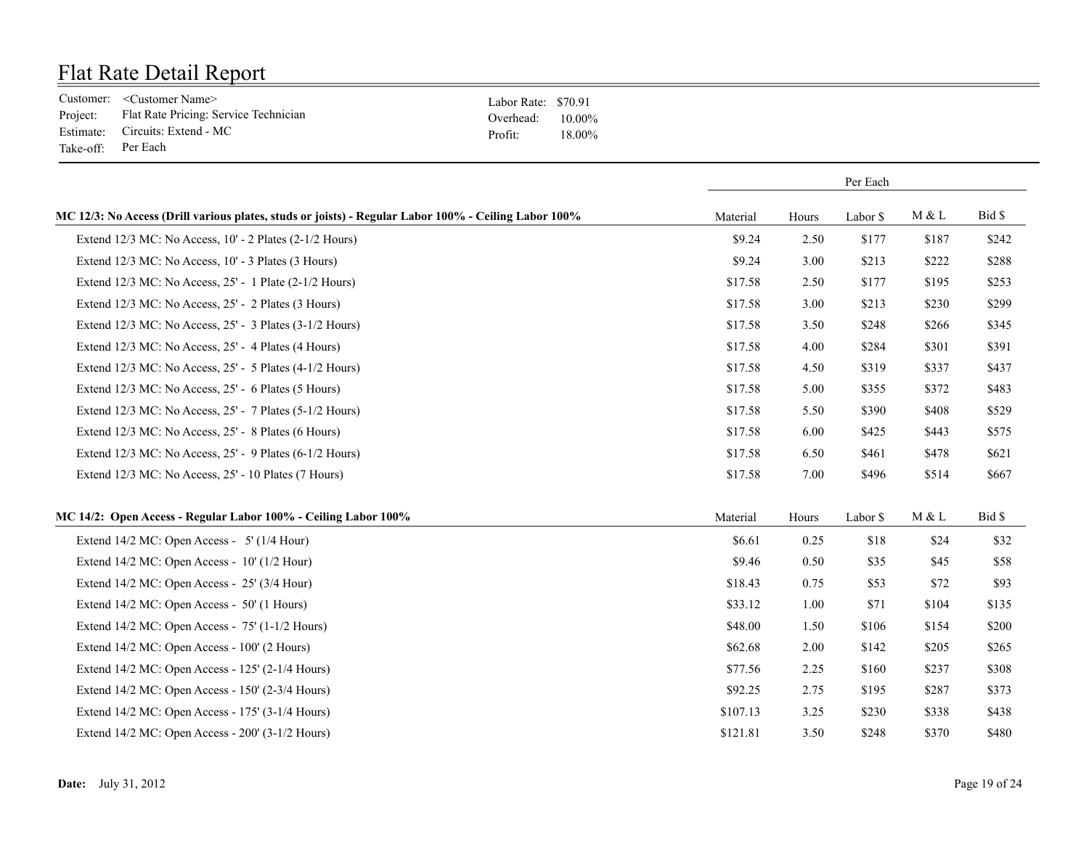|                    | Customer: <customer name=""></customer>        | Labor Rate: \$70.91 |        |
|--------------------|------------------------------------------------|---------------------|--------|
|                    | Project: Flat Rate Pricing: Service Technician | Overhead: $10.00\%$ |        |
|                    | Estimate: Circuits: Extend - MC                | Profit:             | 18.00% |
| Take-off: Per Each |                                                |                     |        |

|                                                                                                      | Per Each |       |          |       |        |
|------------------------------------------------------------------------------------------------------|----------|-------|----------|-------|--------|
| MC 12/3: No Access (Drill various plates, studs or joists) - Regular Labor 100% - Ceiling Labor 100% | Material | Hours | Labor \$ | M & L | Bid \$ |
| Extend 12/3 MC: No Access, 10' - 2 Plates (2-1/2 Hours)                                              | \$9.24   | 2.50  | \$177    | \$187 | \$242  |
| Extend 12/3 MC: No Access, 10' - 3 Plates (3 Hours)                                                  | \$9.24   | 3.00  | \$213    | \$222 | \$288  |
| Extend 12/3 MC: No Access, 25' - 1 Plate (2-1/2 Hours)                                               | \$17.58  | 2.50  | \$177    | \$195 | \$253  |
| Extend 12/3 MC: No Access, 25' - 2 Plates (3 Hours)                                                  | \$17.58  | 3.00  | \$213    | \$230 | \$299  |
| Extend 12/3 MC: No Access, 25' - 3 Plates (3-1/2 Hours)                                              | \$17.58  | 3.50  | \$248    | \$266 | \$345  |
| Extend 12/3 MC: No Access, 25' - 4 Plates (4 Hours)                                                  | \$17.58  | 4.00  | \$284    | \$301 | \$391  |
| Extend $12/3$ MC: No Access, $25'$ - 5 Plates (4-1/2 Hours)                                          | \$17.58  | 4.50  | \$319    | \$337 | \$437  |
| Extend 12/3 MC: No Access, 25' - 6 Plates (5 Hours)                                                  | \$17.58  | 5.00  | \$355    | \$372 | \$483  |
| Extend 12/3 MC: No Access, 25' - 7 Plates (5-1/2 Hours)                                              | \$17.58  | 5.50  | \$390    | \$408 | \$529  |
| Extend 12/3 MC: No Access, 25' - 8 Plates (6 Hours)                                                  | \$17.58  | 6.00  | \$425    | \$443 | \$575  |
| Extend $12/3$ MC: No Access, $25'$ - 9 Plates (6-1/2 Hours)                                          | \$17.58  | 6.50  | \$461    | \$478 | \$621  |
| Extend 12/3 MC: No Access, 25' - 10 Plates (7 Hours)                                                 | \$17.58  | 7.00  | \$496    | \$514 | \$667  |
| MC 14/2: Open Access - Regular Labor 100% - Ceiling Labor 100%                                       | Material | Hours | Labor \$ | M & L | Bid \$ |
| Extend $14/2$ MC: Open Access - 5' ( $1/4$ Hour)                                                     | \$6.61   | 0.25  | \$18     | \$24  | \$32   |
| Extend 14/2 MC: Open Access - 10' (1/2 Hour)                                                         | \$9.46   | 0.50  | \$35     | \$45  | \$58   |
| Extend $14/2$ MC: Open Access - 25' (3/4 Hour)                                                       | \$18.43  | 0.75  | \$53     | \$72  | \$93   |
| Extend 14/2 MC: Open Access - 50' (1 Hours)                                                          | \$33.12  | 1.00  | \$71     | \$104 | \$135  |
| Extend 14/2 MC: Open Access - 75' (1-1/2 Hours)                                                      | \$48.00  | 1.50  | \$106    | \$154 | \$200  |
| Extend 14/2 MC: Open Access - 100' (2 Hours)                                                         | \$62.68  | 2.00  | \$142    | \$205 | \$265  |
| Extend $14/2$ MC: Open Access - $125'$ (2- $1/4$ Hours)                                              | \$77.56  | 2.25  | \$160    | \$237 | \$308  |
| Extend 14/2 MC: Open Access - 150' (2-3/4 Hours)                                                     | \$92.25  | 2.75  | \$195    | \$287 | \$373  |
| Extend 14/2 MC: Open Access - 175' (3-1/4 Hours)                                                     | \$107.13 | 3.25  | \$230    | \$338 | \$438  |
| Extend $14/2$ MC: Open Access - $200'$ (3-1/2 Hours)                                                 | \$121.81 | 3.50  | \$248    | \$370 | \$480  |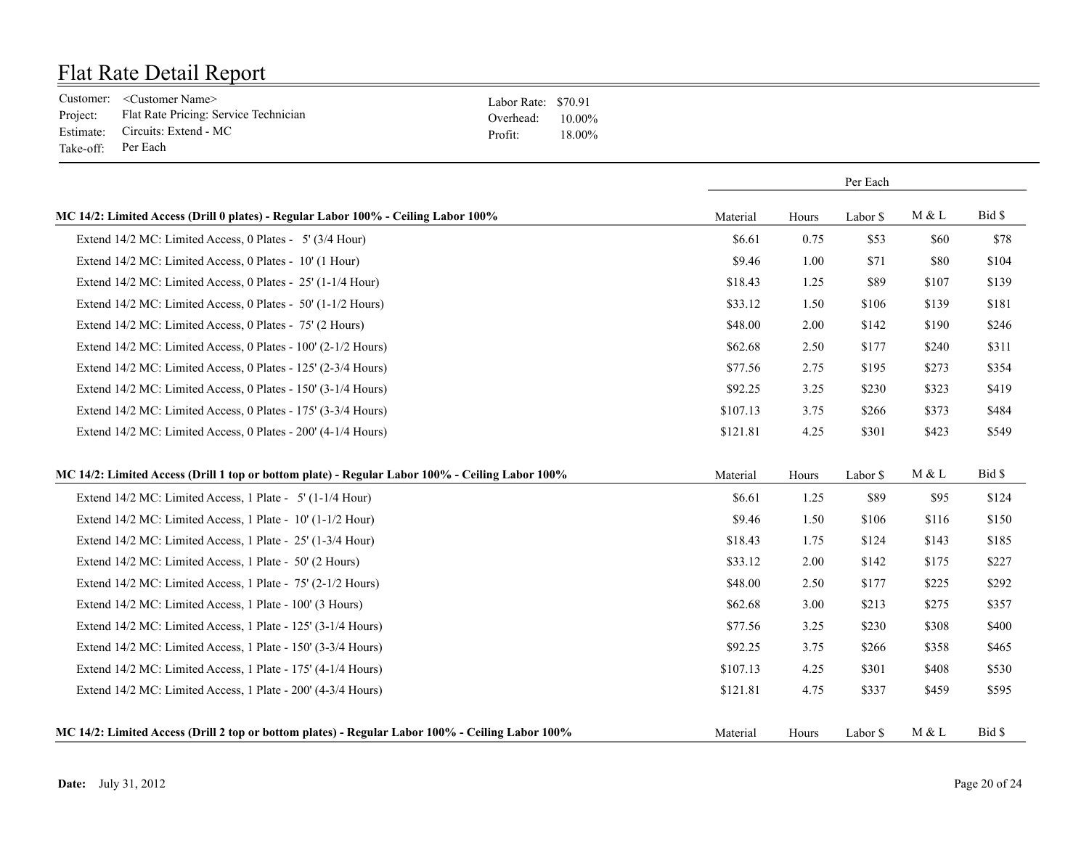|                    | Customer: <customer name=""></customer>        | Labor Rate: \$70.91 |        |
|--------------------|------------------------------------------------|---------------------|--------|
|                    | Project: Flat Rate Pricing: Service Technician | Overhead: $10.00\%$ |        |
|                    | Estimate: Circuits: Extend - MC                | Profit:             | 18 00% |
| Take-off: Per Each |                                                |                     |        |

|                                                                                                  |          |          | Per Each |       |        |
|--------------------------------------------------------------------------------------------------|----------|----------|----------|-------|--------|
| MC 14/2: Limited Access (Drill 0 plates) - Regular Labor 100% - Ceiling Labor 100%               | Material | Hours    | Labor \$ | M & L | Bid \$ |
| Extend 14/2 MC: Limited Access, 0 Plates - 5' (3/4 Hour)                                         | \$6.61   | 0.75     | \$53     | \$60  | \$78   |
| Extend 14/2 MC: Limited Access, 0 Plates - 10' (1 Hour)                                          | \$9.46   | 1.00     | \$71     | \$80  | \$104  |
| Extend 14/2 MC: Limited Access, 0 Plates - 25' (1-1/4 Hour)                                      | \$18.43  | 1.25     | \$89     | \$107 | \$139  |
| Extend 14/2 MC: Limited Access, 0 Plates - 50' (1-1/2 Hours)                                     | \$33.12  | 1.50     | \$106    | \$139 | \$181  |
| Extend 14/2 MC: Limited Access, 0 Plates - 75' (2 Hours)                                         | \$48.00  | 2.00     | \$142    | \$190 | \$246  |
| Extend 14/2 MC: Limited Access, 0 Plates - 100' (2-1/2 Hours)                                    | \$62.68  | 2.50     | \$177    | \$240 | \$311  |
| Extend 14/2 MC: Limited Access, 0 Plates - 125' (2-3/4 Hours)                                    | \$77.56  | 2.75     | \$195    | \$273 | \$354  |
| Extend 14/2 MC: Limited Access, 0 Plates - 150' (3-1/4 Hours)                                    | \$92.25  | 3.25     | \$230    | \$323 | \$419  |
| Extend 14/2 MC: Limited Access, 0 Plates - 175' (3-3/4 Hours)                                    | \$107.13 | 3.75     | \$266    | \$373 | \$484  |
| Extend 14/2 MC: Limited Access, 0 Plates - 200' (4-1/4 Hours)                                    | \$121.81 | 4.25     | \$301    | \$423 | \$549  |
| MC 14/2: Limited Access (Drill 1 top or bottom plate) - Regular Labor 100% - Ceiling Labor 100%  | Material | Hours    | Labor \$ | M & L | Bid \$ |
| Extend 14/2 MC: Limited Access, 1 Plate - 5' (1-1/4 Hour)                                        | \$6.61   | 1.25     | \$89     | \$95  | \$124  |
| Extend 14/2 MC: Limited Access, 1 Plate - 10' (1-1/2 Hour)                                       | \$9.46   | 1.50     | \$106    | \$116 | \$150  |
| Extend 14/2 MC: Limited Access, 1 Plate - 25' (1-3/4 Hour)                                       | \$18.43  | 1.75     | \$124    | \$143 | \$185  |
| Extend 14/2 MC: Limited Access, 1 Plate - 50' (2 Hours)                                          | \$33.12  | $2.00\,$ | \$142    | \$175 | \$227  |
| Extend 14/2 MC: Limited Access, 1 Plate - 75' (2-1/2 Hours)                                      | \$48.00  | 2.50     | \$177    | \$225 | \$292  |
| Extend 14/2 MC: Limited Access, 1 Plate - 100' (3 Hours)                                         | \$62.68  | 3.00     | \$213    | \$275 | \$357  |
| Extend 14/2 MC: Limited Access, 1 Plate - 125' (3-1/4 Hours)                                     | \$77.56  | 3.25     | \$230    | \$308 | \$400  |
| Extend 14/2 MC: Limited Access, 1 Plate - 150' (3-3/4 Hours)                                     | \$92.25  | 3.75     | \$266    | \$358 | \$465  |
| Extend 14/2 MC: Limited Access, 1 Plate - 175' (4-1/4 Hours)                                     | \$107.13 | 4.25     | \$301    | \$408 | \$530  |
| Extend 14/2 MC: Limited Access, 1 Plate - 200' (4-3/4 Hours)                                     | \$121.81 | 4.75     | \$337    | \$459 | \$595  |
| MC 14/2: Limited Access (Drill 2 top or bottom plates) - Regular Labor 100% - Ceiling Labor 100% | Material | Hours    | Labor \$ | M & L | Bid \$ |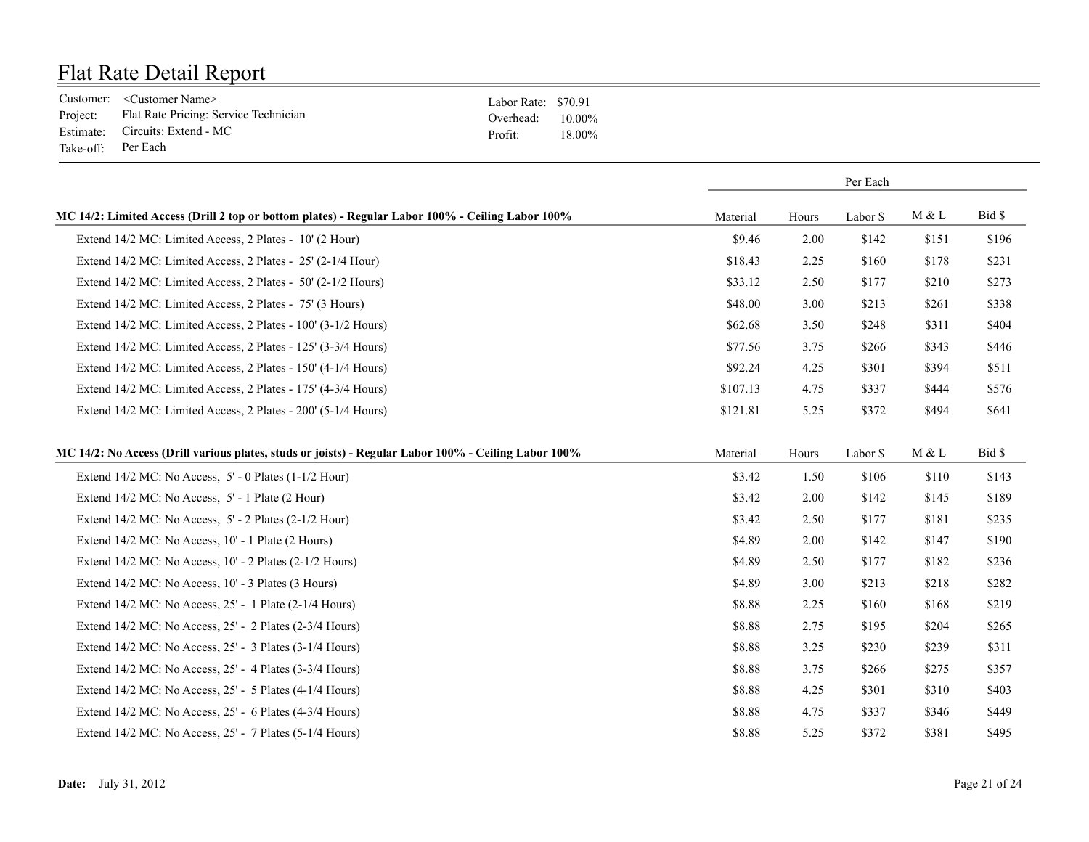|                    | Customer: <customer name=""></customer>        | Labor Rate: \$70.91 |        |
|--------------------|------------------------------------------------|---------------------|--------|
|                    | Project: Flat Rate Pricing: Service Technician | Overhead: $10.00\%$ |        |
|                    | Estimate: Circuits: Extend - MC                | Profit:             | 18.00% |
| Take-off: Per Each |                                                |                     |        |

|                                                                                                      |          | Per Each |          |       |        |
|------------------------------------------------------------------------------------------------------|----------|----------|----------|-------|--------|
| MC 14/2: Limited Access (Drill 2 top or bottom plates) - Regular Labor 100% - Ceiling Labor 100%     | Material | Hours    | Labor \$ | M & L | Bid \$ |
| Extend 14/2 MC: Limited Access, 2 Plates - 10' (2 Hour)                                              | \$9.46   | 2.00     | \$142    | \$151 | \$196  |
| Extend 14/2 MC: Limited Access, 2 Plates - 25' (2-1/4 Hour)                                          | \$18.43  | 2.25     | \$160    | \$178 | \$231  |
| Extend 14/2 MC: Limited Access, 2 Plates - 50' (2-1/2 Hours)                                         | \$33.12  | 2.50     | \$177    | \$210 | \$273  |
| Extend 14/2 MC: Limited Access, 2 Plates - 75' (3 Hours)                                             | \$48.00  | 3.00     | \$213    | \$261 | \$338  |
| Extend 14/2 MC: Limited Access, 2 Plates - 100' (3-1/2 Hours)                                        | \$62.68  | 3.50     | \$248    | \$311 | \$404  |
| Extend 14/2 MC: Limited Access, 2 Plates - 125' (3-3/4 Hours)                                        | \$77.56  | 3.75     | \$266    | \$343 | \$446  |
| Extend 14/2 MC: Limited Access, 2 Plates - 150' (4-1/4 Hours)                                        | \$92.24  | 4.25     | \$301    | \$394 | \$511  |
| Extend 14/2 MC: Limited Access, 2 Plates - 175' (4-3/4 Hours)                                        | \$107.13 | 4.75     | \$337    | \$444 | \$576  |
| Extend 14/2 MC: Limited Access, 2 Plates - 200' (5-1/4 Hours)                                        | \$121.81 | 5.25     | \$372    | \$494 | \$641  |
| MC 14/2: No Access (Drill various plates, studs or joists) - Regular Labor 100% - Ceiling Labor 100% | Material | Hours    | Labor \$ | M & L | Bid \$ |
| Extend $14/2$ MC: No Access, $5'$ - 0 Plates $(1-1/2$ Hour)                                          | \$3.42   | 1.50     | \$106    | \$110 | \$143  |
| Extend 14/2 MC: No Access, 5' - 1 Plate (2 Hour)                                                     | \$3.42   | 2.00     | \$142    | \$145 | \$189  |
| Extend $14/2$ MC: No Access, $5'$ - 2 Plates $(2-1/2$ Hour)                                          | \$3.42   | 2.50     | \$177    | \$181 | \$235  |
| Extend 14/2 MC: No Access, 10' - 1 Plate (2 Hours)                                                   | \$4.89   | 2.00     | \$142    | \$147 | \$190  |
| Extend 14/2 MC: No Access, 10' - 2 Plates (2-1/2 Hours)                                              | \$4.89   | 2.50     | \$177    | \$182 | \$236  |
| Extend 14/2 MC: No Access, 10' - 3 Plates (3 Hours)                                                  | \$4.89   | 3.00     | \$213    | \$218 | \$282  |
| Extend 14/2 MC: No Access, 25' - 1 Plate (2-1/4 Hours)                                               | \$8.88   | 2.25     | \$160    | \$168 | \$219  |
| Extend 14/2 MC: No Access, 25' - 2 Plates (2-3/4 Hours)                                              | \$8.88   | 2.75     | \$195    | \$204 | \$265  |
| Extend 14/2 MC: No Access, 25' - 3 Plates (3-1/4 Hours)                                              | \$8.88   | 3.25     | \$230    | \$239 | \$311  |
| Extend 14/2 MC: No Access, 25' - 4 Plates (3-3/4 Hours)                                              | \$8.88   | 3.75     | \$266    | \$275 | \$357  |
| Extend 14/2 MC: No Access, 25' - 5 Plates (4-1/4 Hours)                                              | \$8.88   | 4.25     | \$301    | \$310 | \$403  |
| Extend 14/2 MC: No Access, 25' - 6 Plates (4-3/4 Hours)                                              | \$8.88   | 4.75     | \$337    | \$346 | \$449  |
| Extend $14/2$ MC: No Access, $25'$ - 7 Plates (5-1/4 Hours)                                          | \$8.88   | 5.25     | \$372    | \$381 | \$495  |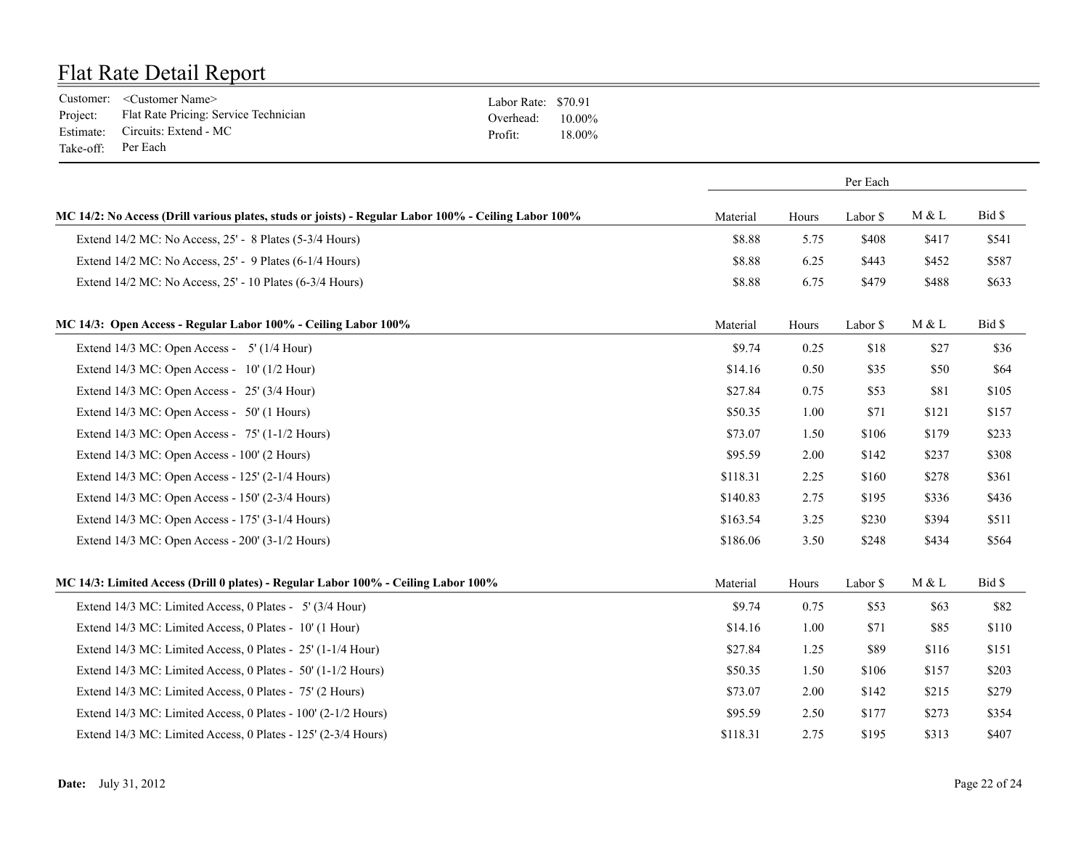|                    | Customer: <customer name=""></customer>        | Labor Rate: \$70.91 |        |
|--------------------|------------------------------------------------|---------------------|--------|
|                    | Project: Flat Rate Pricing: Service Technician | Overhead: $10.00\%$ |        |
|                    | Estimate: Circuits: Extend - MC                | Profit:             | 18.00% |
| Take-off: Per Each |                                                |                     |        |

| Material | Hours | Labor \$ | M & L    | Bid \$ |
|----------|-------|----------|----------|--------|
| \$8.88   | 5.75  | \$408    | \$417    | \$541  |
| \$8.88   | 6.25  | \$443    | \$452    | \$587  |
| \$8.88   | 6.75  | \$479    | \$488    | \$633  |
| Material | Hours | Labor \$ | M & L    | Bid \$ |
| \$9.74   | 0.25  | \$18     | \$27     | \$36   |
| \$14.16  | 0.50  | \$35     | \$50     | \$64   |
| \$27.84  | 0.75  | \$53     | \$81     | \$105  |
| \$50.35  | 1.00  | \$71     | \$121    | \$157  |
| \$73.07  | 1.50  | \$106    | \$179    | \$233  |
| \$95.59  | 2.00  | \$142    | \$237    | \$308  |
| \$118.31 | 2.25  | \$160    | \$278    | \$361  |
| \$140.83 | 2.75  | \$195    | \$336    | \$436  |
| \$163.54 | 3.25  | \$230    | \$394    | \$511  |
| \$186.06 | 3.50  | \$248    | \$434    | \$564  |
| Material | Hours | Labor \$ | M & L    | Bid \$ |
| \$9.74   | 0.75  | \$53     | \$63     | \$82   |
| \$14.16  | 1.00  | \$71     | \$85     | \$110  |
| \$27.84  | 1.25  | \$89     | \$116    | \$151  |
| \$50.35  | 1.50  | \$106    | \$157    | \$203  |
| \$73.07  | 2.00  | \$142    | \$215    | \$279  |
| \$95.59  | 2.50  | \$177    | \$273    | \$354  |
| \$118.31 | 2.75  | \$195    | \$313    | \$407  |
|          |       |          | Per Each |        |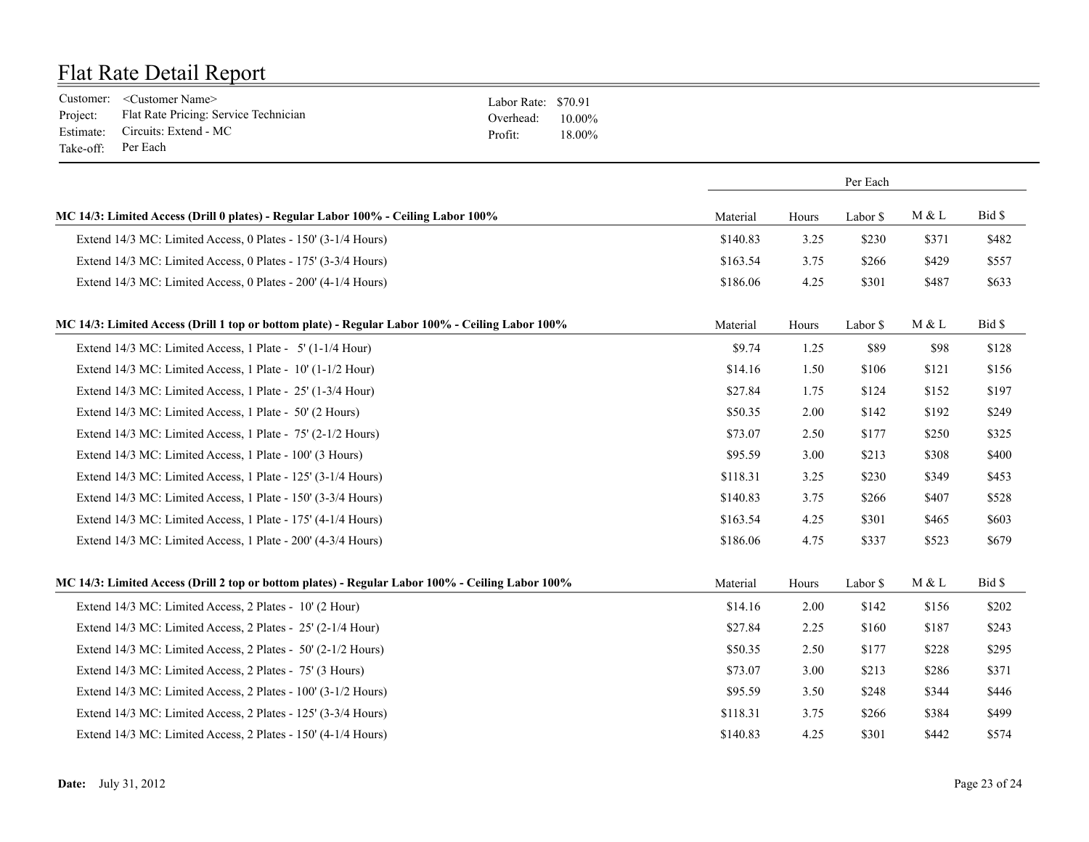|                    | Customer: <customer name=""></customer>        | Labor Rate: \$70.91 |        |
|--------------------|------------------------------------------------|---------------------|--------|
|                    | Project: Flat Rate Pricing: Service Technician | Overhead: $10.00\%$ |        |
|                    | Estimate: Circuits: Extend - MC                | Profit:             | 18.00% |
| Take-off: Per Each |                                                |                     |        |

|                                                                                                  |          |       | Per Each |       |        |
|--------------------------------------------------------------------------------------------------|----------|-------|----------|-------|--------|
| MC 14/3: Limited Access (Drill 0 plates) - Regular Labor 100% - Ceiling Labor 100%               | Material | Hours | Labor \$ | M & L | Bid \$ |
| Extend 14/3 MC: Limited Access, 0 Plates - 150' (3-1/4 Hours)                                    | \$140.83 | 3.25  | \$230    | \$371 | \$482  |
| Extend 14/3 MC: Limited Access, 0 Plates - 175' (3-3/4 Hours)                                    | \$163.54 | 3.75  | \$266    | \$429 | \$557  |
| Extend 14/3 MC: Limited Access, 0 Plates - 200' (4-1/4 Hours)                                    | \$186.06 | 4.25  | \$301    | \$487 | \$633  |
| MC 14/3: Limited Access (Drill 1 top or bottom plate) - Regular Labor 100% - Ceiling Labor 100%  | Material | Hours | Labor \$ | M & L | Bid \$ |
| Extend 14/3 MC: Limited Access, 1 Plate - 5' (1-1/4 Hour)                                        | \$9.74   | 1.25  | \$89     | \$98  | \$128  |
| Extend 14/3 MC: Limited Access, 1 Plate - 10' (1-1/2 Hour)                                       | \$14.16  | 1.50  | \$106    | \$121 | \$156  |
| Extend 14/3 MC: Limited Access, 1 Plate - 25' (1-3/4 Hour)                                       | \$27.84  | 1.75  | \$124    | \$152 | \$197  |
| Extend 14/3 MC: Limited Access, 1 Plate - 50' (2 Hours)                                          | \$50.35  | 2.00  | \$142    | \$192 | \$249  |
| Extend 14/3 MC: Limited Access, 1 Plate - 75' (2-1/2 Hours)                                      | \$73.07  | 2.50  | \$177    | \$250 | \$325  |
| Extend 14/3 MC: Limited Access, 1 Plate - 100' (3 Hours)                                         | \$95.59  | 3.00  | \$213    | \$308 | \$400  |
| Extend 14/3 MC: Limited Access, 1 Plate - 125' (3-1/4 Hours)                                     | \$118.31 | 3.25  | \$230    | \$349 | \$453  |
| Extend 14/3 MC: Limited Access, 1 Plate - 150' (3-3/4 Hours)                                     | \$140.83 | 3.75  | \$266    | \$407 | \$528  |
| Extend 14/3 MC: Limited Access, 1 Plate - 175' (4-1/4 Hours)                                     | \$163.54 | 4.25  | \$301    | \$465 | \$603  |
| Extend 14/3 MC: Limited Access, 1 Plate - 200' (4-3/4 Hours)                                     | \$186.06 | 4.75  | \$337    | \$523 | \$679  |
| MC 14/3: Limited Access (Drill 2 top or bottom plates) - Regular Labor 100% - Ceiling Labor 100% | Material | Hours | Labor \$ | M & L | Bid \$ |
| Extend 14/3 MC: Limited Access, 2 Plates - 10' (2 Hour)                                          | \$14.16  | 2.00  | \$142    | \$156 | \$202  |
| Extend 14/3 MC: Limited Access, 2 Plates - 25' (2-1/4 Hour)                                      | \$27.84  | 2.25  | \$160    | \$187 | \$243  |
| Extend 14/3 MC: Limited Access, 2 Plates - 50' (2-1/2 Hours)                                     | \$50.35  | 2.50  | \$177    | \$228 | \$295  |
| Extend 14/3 MC: Limited Access, 2 Plates - 75' (3 Hours)                                         | \$73.07  | 3.00  | \$213    | \$286 | \$371  |
| Extend 14/3 MC: Limited Access, 2 Plates - 100' (3-1/2 Hours)                                    | \$95.59  | 3.50  | \$248    | \$344 | \$446  |
| Extend 14/3 MC: Limited Access, 2 Plates - 125' (3-3/4 Hours)                                    | \$118.31 | 3.75  | \$266    | \$384 | \$499  |
| Extend 14/3 MC: Limited Access, 2 Plates - 150' (4-1/4 Hours)                                    | \$140.83 | 4.25  | \$301    | \$442 | \$574  |